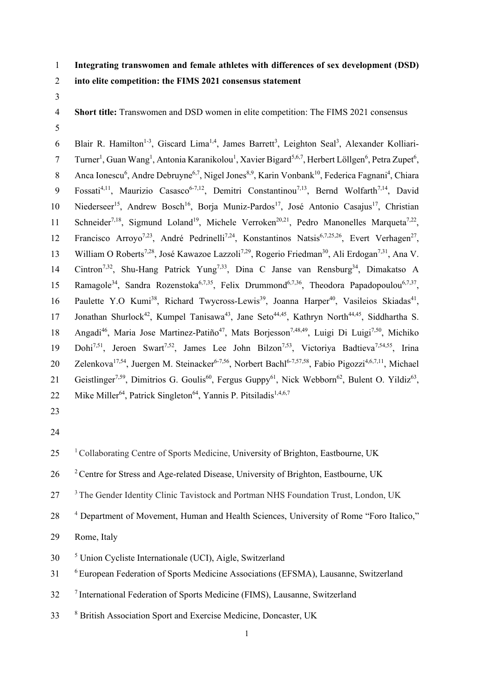1 **Integrating transwomen and female athletes with differences of sex development (DSD)** 

2 **into elite competition: the FIMS 2021 consensus statement**

3

5

4 **Short title:** Transwomen and DSD women in elite competition: The FIMS 2021 consensus

- 6 Blair R. Hamilton<sup>1-3</sup>, Giscard Lima<sup>1,4</sup>, James Barrett<sup>3</sup>, Leighton Seal<sup>3</sup>, Alexander Kolliari-7 Turner<sup>1</sup>, Guan Wang<sup>1</sup>, Antonia Karanikolou<sup>1</sup>, Xavier Bigard<sup>5,6,7</sup>, Herbert Löllgen<sup>6</sup>, Petra Zupet<sup>6</sup>, 8 Anca Ionescu<sup>6</sup>, Andre Debruyne<sup>6,7</sup>, Nigel Jones<sup>8,9</sup>, Karin Vonbank<sup>10</sup>, Federica Fagnani<sup>4</sup>, Chiara 9 Fossati<sup>4,11</sup>, Maurizio Casasco<sup>6-7,12</sup>, Demitri Constantinou<sup>7,13</sup>, Bernd Wolfarth<sup>7,14</sup>, David 10 Niederseer<sup>15</sup>, Andrew Bosch<sup>16</sup>, Borja Muniz-Pardos<sup>17</sup>, José Antonio Casajus<sup>17</sup>, Christian 11 Schneider<sup>7,18</sup>, Sigmund Loland<sup>19</sup>, Michele Verroken<sup>20,21</sup>, Pedro Manonelles Marqueta<sup>7,22</sup>, 12 Francisco Arroyo<sup>7,23</sup>, André Pedrinelli<sup>7,24</sup>, Konstantinos Natsis<sup>6,7,25,26</sup>, Evert Verhagen<sup>27</sup>, 13 William O Roberts<sup>7,28</sup>, José Kawazoe Lazzoli<sup>7,29</sup>, Rogerio Friedman<sup>30</sup>, Ali Erdogan<sup>7,31</sup>, Ana V. 14 Cintron<sup>7,32</sup>, Shu-Hang Patrick Yung<sup>7,33</sup>, Dina C Janse van Rensburg<sup>34</sup>, Dimakatso A 15 Ramagole<sup>34</sup>, Sandra Rozenstoka<sup>6,7,35</sup>, Felix Drummond<sup>6,7,36</sup>, Theodora Papadopoulou<sup>6,7,37</sup>, 16 Paulette Y.O Kumi<sup>38</sup>, Richard Twycross-Lewis<sup>39</sup>, Joanna Harper<sup>40</sup>, Vasileios Skiadas<sup>41</sup>, 17 Jonathan Shurlock<sup>42</sup>, Kumpel Tanisawa<sup>43</sup>, Jane Seto<sup>44,45</sup>, Kathryn North<sup>44,45</sup>, Siddhartha S. 18 Angadi<sup>46</sup>, Maria Jose Martinez-Patiño<sup>47</sup>, Mats Borjesson<sup>7,48,49</sup>, Luigi Di Luigi<sup>7,50</sup>, Michiko 19 Dohi<sup>7,51</sup>, Jeroen Swart<sup>7,52</sup>, James Lee John Bilzon<sup>7,53</sup>, Victoriya Badtieva<sup>7,54,55</sup>, Irina 20 Zelenkova<sup>17,54</sup>, Juergen M. Steinacker<sup>6-7,56</sup>, Norbert Bachl<sup>6-7,57,58</sup>, Fabio Pigozzi<sup>4,6,7,11</sup>, Michael 21 Geistlinger<sup>7,59</sup>, Dimitrios G. Goulis<sup>60</sup>, Fergus Guppy<sup>61</sup>, Nick Webborn<sup>62</sup>, Bulent O. Yildiz<sup>63</sup>, 22 Mike Miller<sup>64</sup>, Patrick Singleton<sup>64</sup>, Yannis P. Pitsiladis<sup>1,4,6,7</sup>
- 24

23

| 25 |  | $J$ <sup>1</sup> Collaborating Centre of Sports Medicine, University of Brighton, Eastbourne, UK |
|----|--|--------------------------------------------------------------------------------------------------|
|    |  |                                                                                                  |

- <sup>2</sup> Centre for Stress and Age-related Disease, University of Brighton, Eastbourne, UK
- <sup>3</sup> The Gender Identity Clinic Tavistock and Portman NHS Foundation Trust, London, UK
- 28 <sup>4</sup> Department of Movement, Human and Health Sciences, University of Rome "Foro Italico,"

29 Rome, Italy

- <sup>5</sup> 30 Union Cycliste Internationale (UCI), Aigle, Switzerland
- 6 31 European Federation of Sports Medicine Associations (EFSMA), Lausanne, Switzerland
- 7 32 International Federation of Sports Medicine (FIMS), Lausanne, Switzerland
- <sup>8</sup> 33 British Association Sport and Exercise Medicine, Doncaster, UK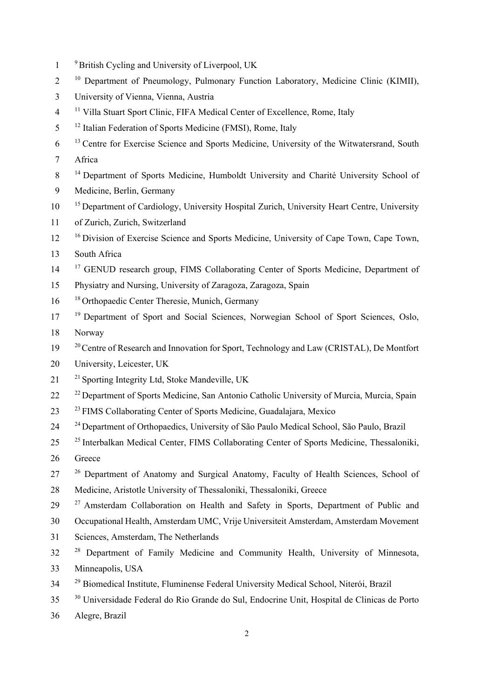- <sup>9</sup> British Cycling and University of Liverpool, UK
- <sup>10</sup> Department of Pneumology, Pulmonary Function Laboratory, Medicine Clinic (KIMII),
- 3 University of Vienna, Vienna, Austria
- <sup>11</sup> Villa Stuart Sport Clinic, FIFA Medical Center of Excellence, Rome, Italy
- 5 <sup>12</sup> Italian Federation of Sports Medicine (FMSI), Rome, Italy
- <sup>13</sup> Centre for Exercise Science and Sports Medicine, University of the Witwatersrand, South
- 7 Africa
- <sup>14</sup> Department of Sports Medicine, Humboldt University and Charité University School of
- 9 Medicine, Berlin, Germany
- 10 <sup>15</sup> Department of Cardiology, University Hospital Zurich, University Heart Centre, University
- 11 of Zurich, Zurich, Switzerland
- 12 <sup>16</sup> Division of Exercise Science and Sports Medicine, University of Cape Town, Cape Town,
- 13 South Africa
- 14 <sup>17</sup> GENUD research group, FIMS Collaborating Center of Sports Medicine, Department of
- 15 Physiatry and Nursing, University of Zaragoza, Zaragoza, Spain
- 18 16 Orthopaedic Center Theresie, Munich, Germany
- <sup>19</sup> Department of Sport and Social Sciences, Norwegian School of Sport Sciences, Oslo, 18 Norway
- <sup>20</sup> Centre of Research and Innovation for Sport, Technology and Law (CRISTAL), De Montfort
- 20 University, Leicester, UK
- 21<sup>21</sup> Sporting Integrity Ltd, Stoke Mandeville, UK
- 22 <sup>22</sup> Department of Sports Medicine, San Antonio Catholic University of Murcia, Murcia, Spain
- 23 23 FIMS Collaborating Center of Sports Medicine, Guadalajara, Mexico
- 24 24 Department of Orthopaedics, University of São Paulo Medical School, São Paulo, Brazil
- 25 <sup>25</sup> Interbalkan Medical Center, FIMS Collaborating Center of Sports Medicine, Thessaloniki,
- 26 Greece
- <sup>26</sup> Department of Anatomy and Surgical Anatomy, Faculty of Health Sciences, School of
- 28 Medicine, Aristotle University of Thessaloniki, Thessaloniki, Greece
- 29<sup>27</sup> Amsterdam Collaboration on Health and Safety in Sports, Department of Public and
- 30 Occupational Health, Amsterdam UMC, Vrije Universiteit Amsterdam, Amsterdam Movement
- 31 Sciences, Amsterdam, The Netherlands
- <sup>28</sup> Department of Family Medicine and Community Health, University of Minnesota, 33 Minneapolis, USA
- <sup>29</sup> 34 Biomedical Institute, Fluminense Federal University Medical School, Niterói, Brazil
- <sup>30</sup> 35 Universidade Federal do Rio Grande do Sul, Endocrine Unit, Hospital de Clinicas de Porto
- 36 Alegre, Brazil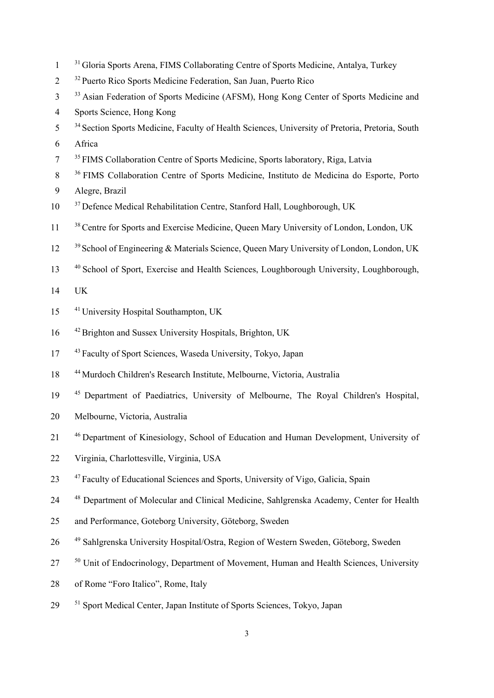- <sup>31</sup> Gloria Sports Arena, FIMS Collaborating Centre of Sports Medicine, Antalya, Turkey
- <sup>32</sup> 2 Puerto Rico Sports Medicine Federation, San Juan, Puerto Rico
- <sup>33</sup> Asian Federation of Sports Medicine (AFSM), Hong Kong Center of Sports Medicine and
- 4 Sports Science, Hong Kong
- <sup>34</sup> Section Sports Medicine, Faculty of Health Sciences, University of Pretoria, Pretoria, South
- 6 Africa
- <sup>35</sup> FIMS Collaboration Centre of Sports Medicine, Sports laboratory, Riga, Latvia
- <sup>36</sup> 8 FIMS Collaboration Centre of Sports Medicine, Instituto de Medicina do Esporte, Porto
- 9 Alegre, Brazil
- <sup>37</sup> Defence Medical Rehabilitation Centre, Stanford Hall, Loughborough, UK
- <sup>38</sup> Centre for Sports and Exercise Medicine, Queen Mary University of London, London, UK
- <sup>39</sup> School of Engineering & Materials Science, Queen Mary University of London, London, UK
- <sup>40</sup> School of Sport, Exercise and Health Sciences, Loughborough University, Loughborough,
- 14 UK
- 15 <sup>41</sup> University Hospital Southampton, UK
- $16$   $42$  Brighton and Sussex University Hospitals, Brighton, UK
- 17 <sup>43</sup> Faculty of Sport Sciences, Waseda University, Tokyo, Japan
- 18 <sup>44</sup> Murdoch Children's Research Institute, Melbourne, Victoria, Australia
- 19<sup>45</sup> Department of Paediatrics, University of Melbourne, The Royal Children's Hospital,
- 20 Melbourne, Victoria, Australia
- 21<sup>46</sup> Department of Kinesiology, School of Education and Human Development, University of
- 22 Virginia, Charlottesville, Virginia, USA
- 23 <sup>47</sup> Faculty of Educational Sciences and Sports, University of Vigo, Galicia, Spain
- <sup>48</sup> Department of Molecular and Clinical Medicine, Sahlgrenska Academy, Center for Health
- 25 and Performance, Goteborg University, Göteborg, Sweden
- 26 <sup>49</sup> Sahlgrenska University Hospital/Ostra, Region of Western Sweden, Göteborg, Sweden
- <sup>50</sup> Unit of Endocrinology, Department of Movement, Human and Health Sciences, University
- 28 of Rome "Foro Italico", Rome, Italy
- 29 <sup>51</sup> Sport Medical Center, Japan Institute of Sports Sciences, Tokyo, Japan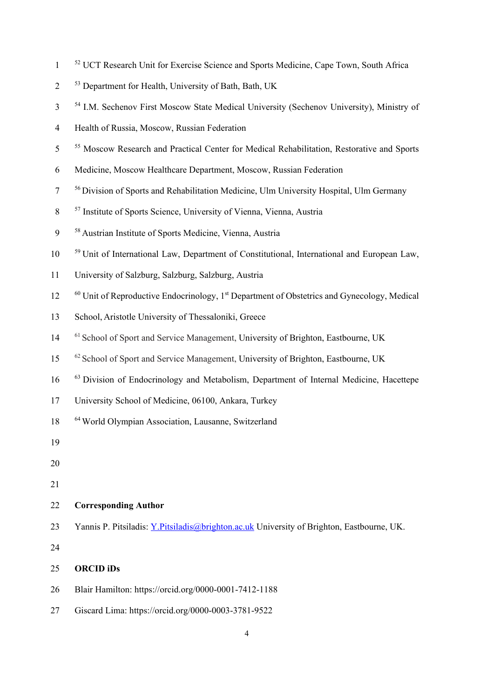- <sup>52</sup> UCT Research Unit for Exercise Science and Sports Medicine, Cape Town, South Africa
- <sup>53</sup> Department for Health, University of Bath, Bath, UK
- <sup>54</sup> I.M. Sechenov First Moscow State Medical University (Sechenov University), Ministry of
- Health of Russia, Moscow, Russian Federation
- 5<sup>55</sup> Moscow Research and Practical Center for Medical Rehabilitation, Restorative and Sports
- Medicine, Moscow Healthcare Department, Moscow, Russian Federation
- <sup>56</sup> Division of Sports and Rehabilitation Medicine, Ulm University Hospital, Ulm Germany
- <sup>57</sup> Institute of Sports Science, University of Vienna, Vienna, Austria
- <sup>58</sup> Austrian Institute of Sports Medicine, Vienna, Austria
- <sup>59</sup> Unit of International Law, Department of Constitutional, International and European Law,
- University of Salzburg, Salzburg, Salzburg, Austria
- $12<sup>60</sup>$  Unit of Reproductive Endocrinology,  $1<sup>st</sup>$  Department of Obstetrics and Gynecology, Medical
- School, Aristotle University of Thessaloniki, Greece
- <sup>61</sup> School of Sport and Service Management, University of Brighton, Eastbourne, UK
- <sup>62</sup> School of Sport and Service Management, University of Brighton, Eastbourne, UK
- <sup>63</sup> Division of Endocrinology and Metabolism, Department of Internal Medicine, Hacettepe
- University School of Medicine, 06100, Ankara, Turkey
- <sup>64</sup> World Olympian Association, Lausanne, Switzerland
- 
- 
- 

## **Corresponding Author**

- 23 Yannis P. Pitsiladis: Y. Pitsiladis@brighton.ac.uk University of Brighton, Eastbourne, UK.
- 

## **ORCID iDs**

- Blair Hamilton:<https://orcid.org/0000-0001-7412-1188>
- Giscard Lima:<https://orcid.org/0000-0003-3781-9522>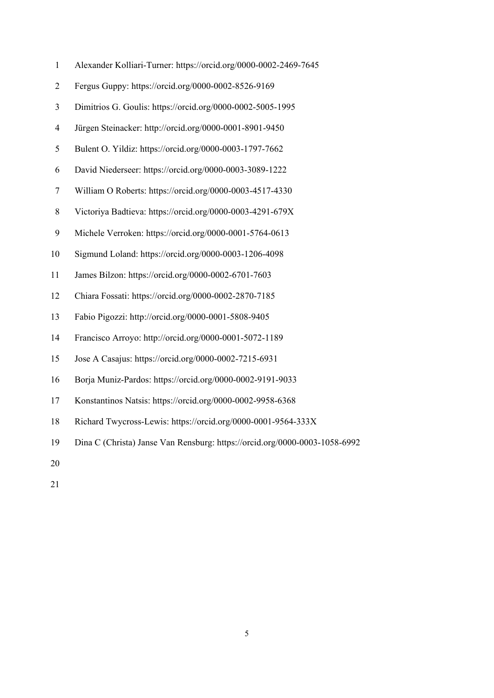| $\mathbf{1}$   | Alexander Kolliari-Turner: https://orcid.org/0000-0002-2469-7645           |
|----------------|----------------------------------------------------------------------------|
| $\overline{2}$ | Fergus Guppy: https://orcid.org/0000-0002-8526-9169                        |
| 3              | Dimitrios G. Goulis: https://orcid.org/0000-0002-5005-1995                 |
| $\overline{4}$ | Jürgen Steinacker: http://orcid.org/0000-0001-8901-9450                    |
| 5              | Bulent O. Yildiz: https://orcid.org/0000-0003-1797-7662                    |
| 6              | David Niederseer: https://orcid.org/0000-0003-3089-1222                    |
| $\tau$         | William O Roberts: https://orcid.org/0000-0003-4517-4330                   |
| $8\,$          | Victoriya Badtieva: https://orcid.org/0000-0003-4291-679X                  |
| 9              | Michele Verroken: https://orcid.org/0000-0001-5764-0613                    |
| 10             | Sigmund Loland: https://orcid.org/0000-0003-1206-4098                      |
| 11             | James Bilzon: https://orcid.org/0000-0002-6701-7603                        |
| 12             | Chiara Fossati: https://orcid.org/0000-0002-2870-7185                      |
| 13             | Fabio Pigozzi: http://orcid.org/0000-0001-5808-9405                        |
| 14             | Francisco Arroyo: http://orcid.org/0000-0001-5072-1189                     |
| 15             | Jose A Casajus: https://orcid.org/0000-0002-7215-6931                      |
| 16             | Borja Muniz-Pardos: https://orcid.org/0000-0002-9191-9033                  |
| 17             | Konstantinos Natsis: https://orcid.org/0000-0002-9958-6368                 |
| 18             | Richard Twycross-Lewis: https://orcid.org/0000-0001-9564-333X              |
| 19             | Dina C (Christa) Janse Van Rensburg: https://orcid.org/0000-0003-1058-6992 |
|                |                                                                            |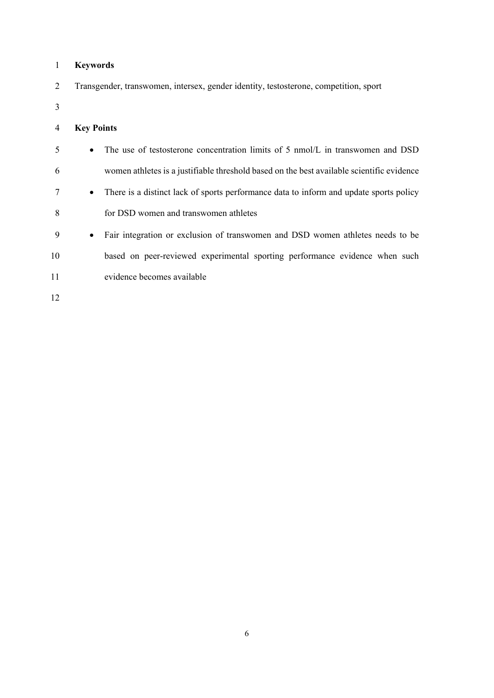# **Keywords**

- Transgender, transwomen, intersex, gender identity, testosterone, competition, sport
- 

# **Key Points**

| 5  |           | The use of testosterone concentration limits of 5 nmol/L in transwomen and DSD            |
|----|-----------|-------------------------------------------------------------------------------------------|
| 6  |           | women athletes is a justifiable threshold based on the best available scientific evidence |
| 7  | $\bullet$ | There is a distinct lack of sports performance data to inform and update sports policy    |
| 8  |           | for DSD women and transwomen athletes                                                     |
| 9  | $\bullet$ | Fair integration or exclusion of transwomen and DSD women athletes needs to be            |
| 10 |           | based on peer-reviewed experimental sporting performance evidence when such               |
| 11 |           | evidence becomes available                                                                |
| 12 |           |                                                                                           |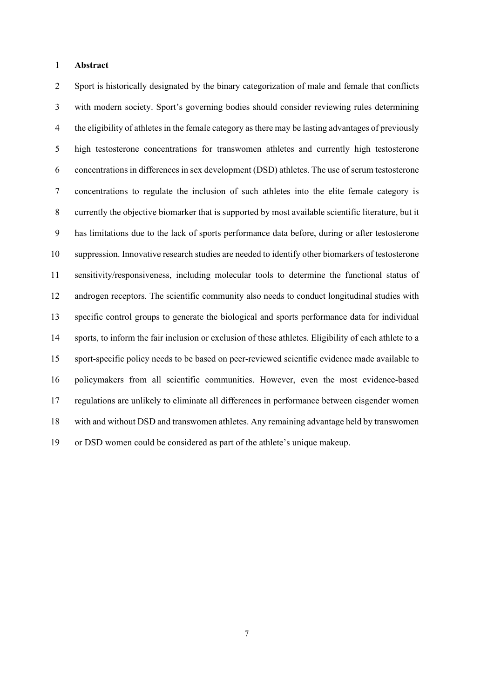#### **Abstract**

 Sport is historically designated by the binary categorization of male and female that conflicts with modern society. Sport's governing bodies should consider reviewing rules determining the eligibility of athletes in the female category as there may be lasting advantages of previously high testosterone concentrations for transwomen athletes and currently high testosterone concentrations in differences in sex development (DSD) athletes. The use of serum testosterone concentrations to regulate the inclusion of such athletes into the elite female category is currently the objective biomarker that is supported by most available scientific literature, but it has limitations due to the lack of sports performance data before, during or after testosterone suppression. Innovative research studies are needed to identify other biomarkers of testosterone sensitivity/responsiveness, including molecular tools to determine the functional status of androgen receptors. The scientific community also needs to conduct longitudinal studies with specific control groups to generate the biological and sports performance data for individual sports, to inform the fair inclusion or exclusion of these athletes. Eligibility of each athlete to a sport-specific policy needs to be based on peer-reviewed scientific evidence made available to policymakers from all scientific communities. However, even the most evidence-based regulations are unlikely to eliminate all differences in performance between cisgender women with and without DSD and transwomen athletes. Any remaining advantage held by transwomen or DSD women could be considered as part of the athlete's unique makeup.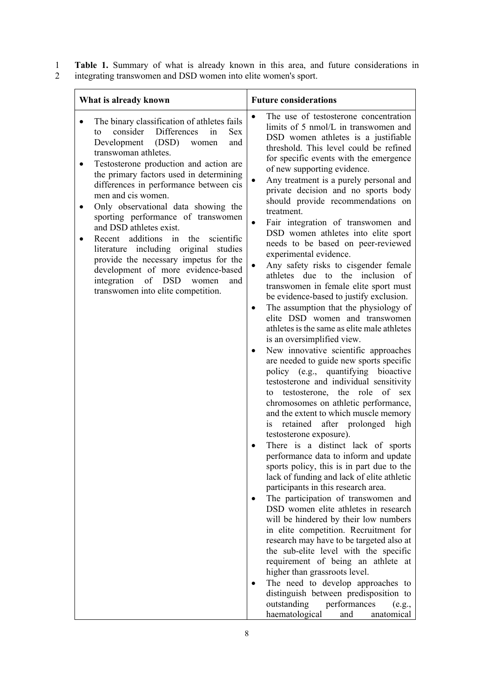<span id="page-7-0"></span>1 **Table 1.** Summary of what is already known in this area, and future considerations in 2 integrating transwomen and DSD women into elite women's sport.

| What is already known                                                                                                                                                                                                                                                                                                                                                                                                                                                                                                                                                                                                                                                                        | <b>Future considerations</b>                                                                                                                                                                                                                                                                                                                                                                                                                                                                                                                                                                                                                                                                                                                                                                                                                                                                                                                                                                                                                                                                                                                                                                                                                                                                                                                                                                                                                                                                                                                                                                                                                                                                                                                                                                                                                                                                                                                  |
|----------------------------------------------------------------------------------------------------------------------------------------------------------------------------------------------------------------------------------------------------------------------------------------------------------------------------------------------------------------------------------------------------------------------------------------------------------------------------------------------------------------------------------------------------------------------------------------------------------------------------------------------------------------------------------------------|-----------------------------------------------------------------------------------------------------------------------------------------------------------------------------------------------------------------------------------------------------------------------------------------------------------------------------------------------------------------------------------------------------------------------------------------------------------------------------------------------------------------------------------------------------------------------------------------------------------------------------------------------------------------------------------------------------------------------------------------------------------------------------------------------------------------------------------------------------------------------------------------------------------------------------------------------------------------------------------------------------------------------------------------------------------------------------------------------------------------------------------------------------------------------------------------------------------------------------------------------------------------------------------------------------------------------------------------------------------------------------------------------------------------------------------------------------------------------------------------------------------------------------------------------------------------------------------------------------------------------------------------------------------------------------------------------------------------------------------------------------------------------------------------------------------------------------------------------------------------------------------------------------------------------------------------------|
| The binary classification of athletes fails<br>$\bullet$<br>consider Differences<br>to<br>in<br><b>Sex</b><br>Development (DSD)<br>and<br>women<br>transwoman athletes.<br>Testosterone production and action are<br>٠<br>the primary factors used in determining<br>differences in performance between cis<br>men and cis women.<br>Only observational data showing the<br>sporting performance of transwomen<br>and DSD athletes exist.<br>additions in the<br>Recent<br>scientific<br>literature including original<br>studies<br>provide the necessary impetus for the<br>development of more evidence-based<br>integration of DSD<br>women<br>and<br>transwomen into elite competition. | The use of testosterone concentration<br>limits of 5 nmol/L in transwomen and<br>DSD women athletes is a justifiable<br>threshold. This level could be refined<br>for specific events with the emergence<br>of new supporting evidence.<br>Any treatment is a purely personal and<br>private decision and no sports body<br>should provide recommendations on<br>treatment.<br>Fair integration of transwomen and<br>٠<br>DSD women athletes into elite sport<br>needs to be based on peer-reviewed<br>experimental evidence.<br>Any safety risks to cisgender female<br>athletes due to the inclusion of<br>transwomen in female elite sport must<br>be evidence-based to justify exclusion.<br>The assumption that the physiology of<br>٠<br>elite DSD women and transwomen<br>athletes is the same as elite male athletes<br>is an oversimplified view.<br>New innovative scientific approaches<br>٠<br>are needed to guide new sports specific<br>policy (e.g., quantifying bioactive<br>testosterone and individual sensitivity<br>testosterone, the role<br>of sex<br>to<br>chromosomes on athletic performance,<br>and the extent to which muscle memory<br>retained after prolonged high<br>1S<br>testosterone exposure).<br>There is a distinct lack of sports<br>performance data to inform and update<br>sports policy, this is in part due to the<br>lack of funding and lack of elite athletic<br>participants in this research area.<br>The participation of transwomen and<br>DSD women elite athletes in research<br>will be hindered by their low numbers<br>in elite competition. Recruitment for<br>research may have to be targeted also at<br>the sub-elite level with the specific<br>requirement of being an athlete at<br>higher than grassroots level.<br>The need to develop approaches to<br>distinguish between predisposition to<br>outstanding<br>performances<br>(e.g.,<br>haematological<br>and<br>anatomical |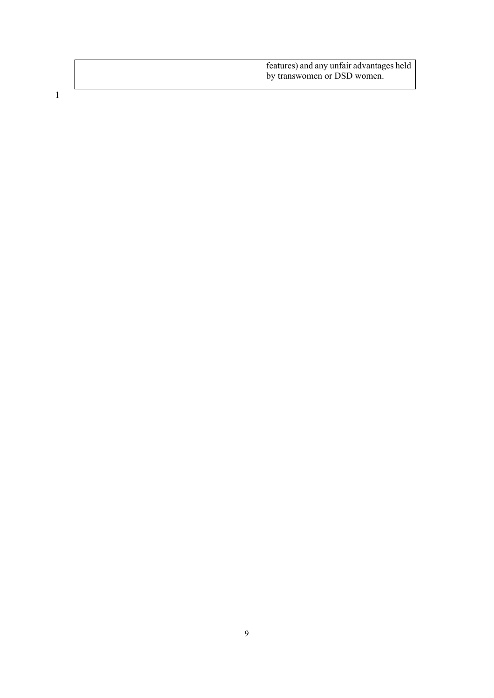| by transwomen or DSD women. | features) and any unfair advantages held |
|-----------------------------|------------------------------------------|
|-----------------------------|------------------------------------------|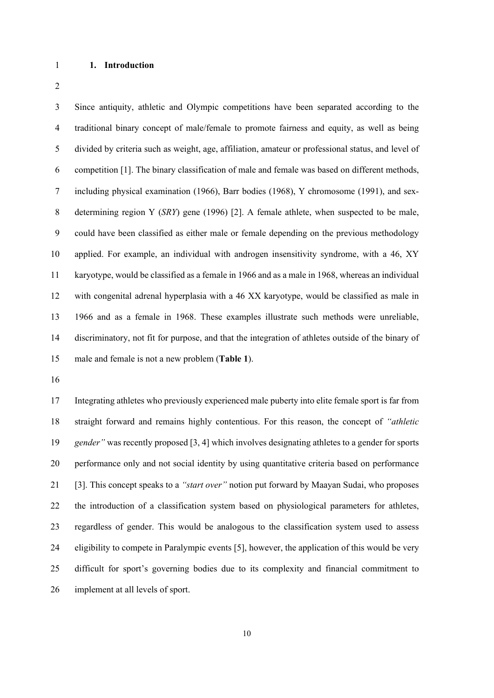#### **1. Introduction**

 Since antiquity, athletic and Olympic competitions have been separated according to the traditional binary concept of male/female to promote fairness and equity, as well as being divided by criteria such as weight, age, affiliation, amateur or professional status, and level of competition [1]. The binary classification of male and female was based on different methods, including physical examination (1966), Barr bodies (1968), Y chromosome (1991), and sex- determining region Y (*SRY*) gene (1996) [2]. A female athlete, when suspected to be male, could have been classified as either male or female depending on the previous methodology applied. For example, an individual with androgen insensitivity syndrome, with a 46, XY karyotype, would be classified as a female in 1966 and as a male in 1968, whereas an individual with congenital adrenal hyperplasia with a 46 XX karyotype, would be classified as male in 1966 and as a female in 1968. These examples illustrate such methods were unreliable, discriminatory, not fit for purpose, and that the integration of athletes outside of the binary of male and female is not a new problem (**[Table 1](#page-7-0)**).

 Integrating athletes who previously experienced male puberty into elite female sport is far from straight forward and remains highly contentious. For this reason, the concept of *"athletic gender"* was recently proposed [3, 4] which involves designating athletes to a gender for sports performance only and not social identity by using quantitative criteria based on performance [3]. This concept speaks to a *"start over"* notion put forward by Maayan Sudai, who proposes the introduction of a classification system based on physiological parameters for athletes, regardless of gender. This would be analogous to the classification system used to assess eligibility to compete in Paralympic events [5], however, the application of this would be very difficult for sport's governing bodies due to its complexity and financial commitment to implement at all levels of sport.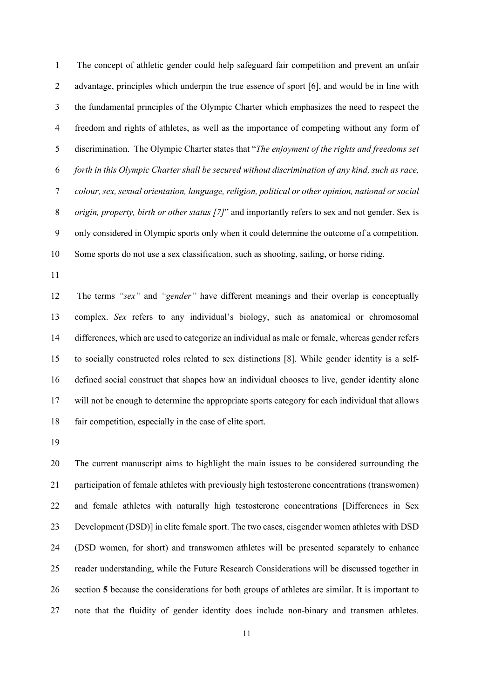The concept of athletic gender could help safeguard fair competition and prevent an unfair advantage, principles which underpin the true essence of sport [6], and would be in line with the fundamental principles of the Olympic Charter which emphasizes the need to respect the freedom and rights of athletes, as well as the importance of competing without any form of discrimination. The Olympic Charter states that "*The enjoyment of the rights and freedoms set forth in this Olympic Charter shall be secured without discrimination of any kind, such as race, colour, sex, sexual orientation, language, religion, political or other opinion, national or social origin, property, birth or other status [7]*" and importantly refers to sex and not gender. Sex is only considered in Olympic sports only when it could determine the outcome of a competition. Some sports do not use a sex classification, such as shooting, sailing, or horse riding.

 The terms *"sex"* and *"gender"* have different meanings and their overlap is conceptually complex. *Sex* refers to any individual's biology, such as anatomical or chromosomal differences, which are used to categorize an individual as male or female, whereas gender refers to socially constructed roles related to sex distinctions [8]. While gender identity is a self- defined social construct that shapes how an individual chooses to live, gender identity alone will not be enough to determine the appropriate sports category for each individual that allows fair competition, especially in the case of elite sport.

 The current manuscript aims to highlight the main issues to be considered surrounding the participation of female athletes with previously high testosterone concentrations (transwomen) and female athletes with naturally high testosterone concentrations [Differences in Sex Development (DSD)] in elite female sport. The two cases, cisgender women athletes with DSD (DSD women, for short) and transwomen athletes will be presented separately to enhance reader understanding, while the Future Research Considerations will be discussed together in section **[5](#page-21-0)** because the considerations for both groups of athletes are similar. It is important to note that the fluidity of gender identity does include non-binary and transmen athletes.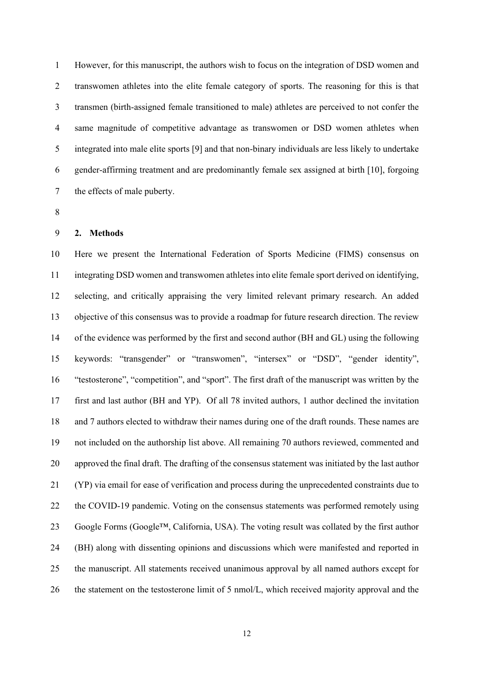However, for this manuscript, the authors wish to focus on the integration of DSD women and transwomen athletes into the elite female category of sports. The reasoning for this is that transmen (birth-assigned female transitioned to male) athletes are perceived to not confer the same magnitude of competitive advantage as transwomen or DSD women athletes when integrated into male elite sports [9] and that non-binary individuals are less likely to undertake gender-affirming treatment and are predominantly female sex assigned at birth [10], forgoing the effects of male puberty.

#### **2. Methods**

 Here we present the International Federation of Sports Medicine (FIMS) consensus on integrating DSD women and transwomen athletes into elite female sport derived on identifying, selecting, and critically appraising the very limited relevant primary research. An added objective of this consensus was to provide a roadmap for future research direction. The review of the evidence was performed by the first and second author (BH and GL) using the following keywords: "transgender" or "transwomen", "intersex" or "DSD", "gender identity", "testosterone", "competition", and "sport". The first draft of the manuscript was written by the first and last author (BH and YP). Of all 78 invited authors, 1 author declined the invitation and 7 authors elected to withdraw their names during one of the draft rounds. These names are not included on the authorship list above. All remaining 70 authors reviewed, commented and approved the final draft. The drafting of the consensus statement was initiated by the last author (YP) via email for ease of verification and process during the unprecedented constraints due to the COVID-19 pandemic. Voting on the consensus statements was performed remotely using Google Forms (Google™, California, USA). The voting result was collated by the first author (BH) along with dissenting opinions and discussions which were manifested and reported in the manuscript. All statements received unanimous approval by all named authors except for the statement on the testosterone limit of 5 nmol/L, which received majority approval and the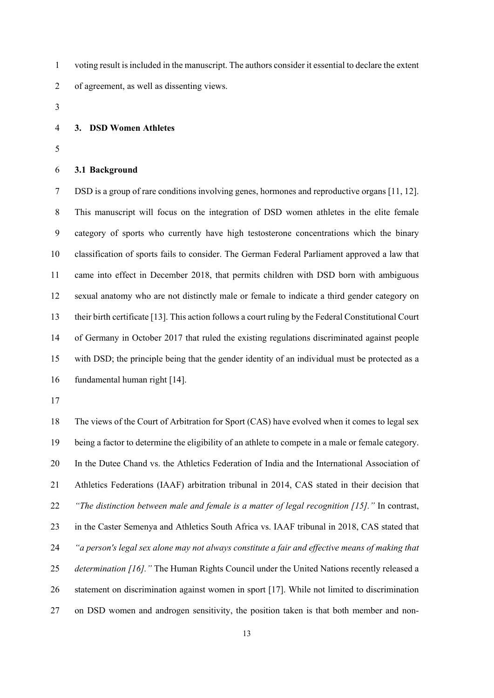voting result is included in the manuscript. The authors consider it essential to declare the extent of agreement, as well as dissenting views.

#### **3. DSD Women Athletes**

#### **3.1 Background**

 DSD is a group of rare conditions involving genes, hormones and reproductive organs [11, 12]. This manuscript will focus on the integration of DSD women athletes in the elite female category of sports who currently have high testosterone concentrations which the binary classification of sports fails to consider. The German Federal Parliament approved a law that came into effect in December 2018, that permits children with DSD born with ambiguous sexual anatomy who are not distinctly male or female to indicate a third gender category on their birth certificate [13]. This action follows a court ruling by the Federal Constitutional Court of Germany in October 2017 that ruled the existing regulations discriminated against people with DSD; the principle being that the gender identity of an individual must be protected as a fundamental human right [14].

 The views of the Court of Arbitration for Sport (CAS) have evolved when it comes to legal sex being a factor to determine the eligibility of an athlete to compete in a male or female category. In the Dutee Chand vs. the Athletics Federation of India and the International Association of Athletics Federations (IAAF) arbitration tribunal in 2014, CAS stated in their decision that *"The distinction between male and female is a matter of legal recognition [15]."* In contrast, in the Caster Semenya and Athletics South Africa vs. IAAF tribunal in 2018, CAS stated that *"a person's legal sex alone may not always constitute a fair and effective means of making that determination [16]."* The Human Rights Council under the United Nations recently released a statement on discrimination against women in sport [17]. While not limited to discrimination on DSD women and androgen sensitivity, the position taken is that both member and non-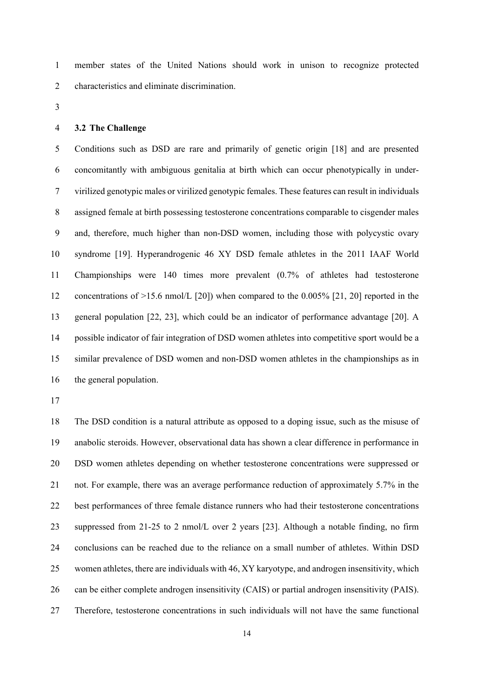member states of the United Nations should work in unison to recognize protected characteristics and eliminate discrimination.

#### **3.2 The Challenge**

 Conditions such as DSD are rare and primarily of genetic origin [18] and are presented concomitantly with ambiguous genitalia at birth which can occur phenotypically in under- virilized genotypic males or virilized genotypic females. These features can result in individuals assigned female at birth possessing testosterone concentrations comparable to cisgender males and, therefore, much higher than non-DSD women, including those with polycystic ovary syndrome [19]. Hyperandrogenic 46 XY DSD female athletes in the 2011 IAAF World Championships were 140 times more prevalent (0.7% of athletes had testosterone concentrations of >15.6 nmol/L [20]) when compared to the 0.005% [21, 20] reported in the general population [22, 23], which could be an indicator of performance advantage [20]. A possible indicator of fair integration of DSD women athletes into competitive sport would be a similar prevalence of DSD women and non-DSD women athletes in the championships as in the general population.

 The DSD condition is a natural attribute as opposed to a doping issue, such as the misuse of anabolic steroids. However, observational data has shown a clear difference in performance in DSD women athletes depending on whether testosterone concentrations were suppressed or not. For example, there was an average performance reduction of approximately 5.7% in the best performances of three female distance runners who had their testosterone concentrations suppressed from 21-25 to 2 nmol/L over 2 years [23]. Although a notable finding, no firm conclusions can be reached due to the reliance on a small number of athletes. Within DSD women athletes, there are individuals with 46, XY karyotype, and androgen insensitivity, which can be either complete androgen insensitivity (CAIS) or partial androgen insensitivity (PAIS). Therefore, testosterone concentrations in such individuals will not have the same functional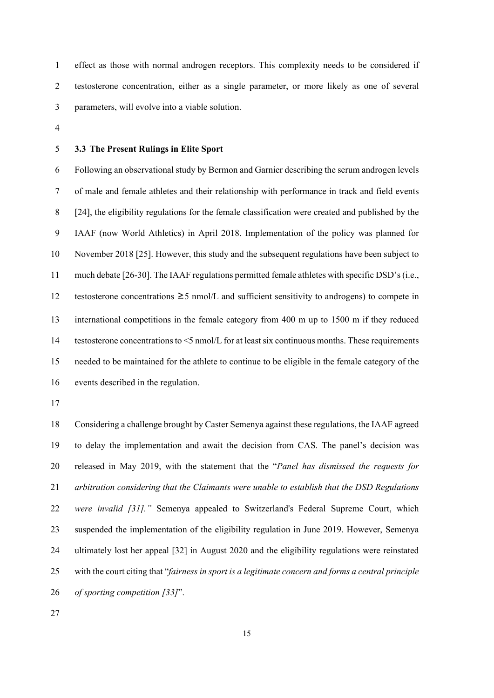effect as those with normal androgen receptors. This complexity needs to be considered if testosterone concentration, either as a single parameter, or more likely as one of several parameters, will evolve into a viable solution.

## **3.3 The Present Rulings in Elite Sport**

 Following an observational study by Bermon and Garnier describing the serum androgen levels of male and female athletes and their relationship with performance in track and field events [24], the eligibility regulations for the female classification were created and published by the IAAF (now World Athletics) in April 2018. Implementation of the policy was planned for November 2018 [25]. However, this study and the subsequent regulations have been subject to much debate [26-30]. The IAAF regulations permitted female athletes with specific DSD's (i.e., 12 testosterone concentrations  $\geq 5$  nmol/L and sufficient sensitivity to androgens) to compete in international competitions in the female category from 400 m up to 1500 m if they reduced testosterone concentrations to <5 nmol/L for at least six continuous months. These requirements needed to be maintained for the athlete to continue to be eligible in the female category of the events described in the regulation.

 Considering a challenge brought by Caster Semenya against these regulations, the IAAF agreed to delay the implementation and await the decision from CAS. The panel's decision was released in May 2019, with the statement that the "*Panel has dismissed the requests for arbitration considering that the Claimants were unable to establish that the DSD Regulations were invalid [31]."* Semenya appealed to Switzerland's Federal Supreme Court, which suspended the implementation of the eligibility regulation in June 2019. However, Semenya ultimately lost her appeal [32] in August 2020 and the eligibility regulations were reinstated with the court citing that "*fairness in sport is a legitimate concern and forms a central principle of sporting competition [33]*".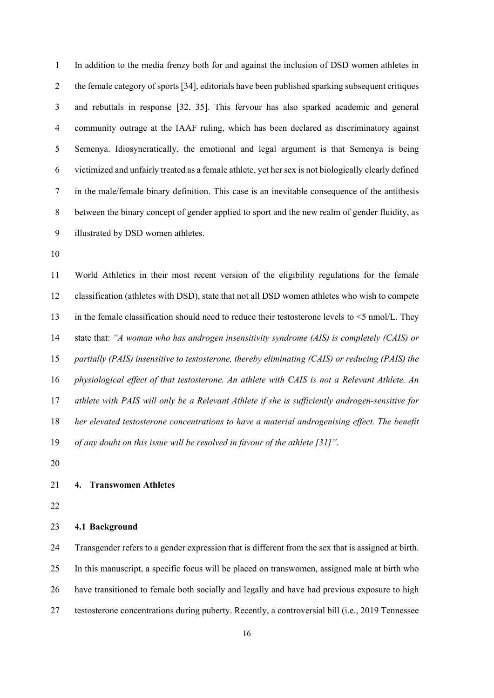In addition to the media frenzy both for and against the inclusion of DSD women athletes in 2 the female category of sports [34], editorials have been published sparking subsequent critiques and rebuttals in response [32, 35]. This fervour has also sparked academic and general community outrage at the IAAF ruling, which has been declared as discriminatory against Semenya. Idiosyncratically, the emotional and legal argument is that Semenya is being victimized and unfairly treated as a female athlete, yet her sex is not biologically clearly defined in the male/female binary definition. This case is an inevitable consequence of the antithesis between the binary concept of gender applied to sport and the new realm of gender fluidity, as illustrated by DSD women athletes.

 World Athletics in their most recent version of the eligibility regulations for the female classification (athletes with DSD), state that not all DSD women athletes who wish to compete in the female classification should need to reduce their testosterone levels to <5 nmol/L. They state that: *"A woman who has androgen insensitivity syndrome (AIS) is completely (CAIS) or partially (PAIS) insensitive to testosterone, thereby eliminating (CAIS) or reducing (PAIS) the physiological effect of that testosterone. An athlete with CAIS is not a Relevant Athlete. An athlete with PAIS will only be a Relevant Athlete if she is sufficiently androgen-sensitive for her elevated testosterone concentrations to have a material androgenising effect. The benefit of any doubt on this issue will be resolved in favour of the athlete [31]"*.

## **4. Transwomen Athletes**

## **4.1 Background**

 Transgender refers to a gender expression that is different from the sex that is assigned at birth. In this manuscript, a specific focus will be placed on transwomen, assigned male at birth who have transitioned to female both socially and legally and have had previous exposure to high testosterone concentrations during puberty. Recently, a controversial bill (i.e., 2019 Tennessee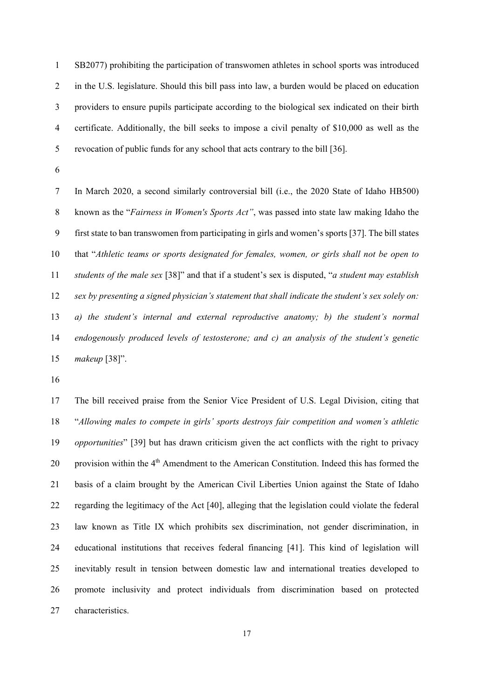SB2077) prohibiting the participation of transwomen athletes in school sports was introduced in the U.S. legislature. Should this bill pass into law, a burden would be placed on education providers to ensure pupils participate according to the biological sex indicated on their birth certificate. Additionally, the bill seeks to impose a civil penalty of \$10,000 as well as the revocation of public funds for any school that acts contrary to the bill [36].

 In March 2020, a second similarly controversial bill (i.e., the 2020 State of Idaho HB500) known as the "*Fairness in Women's Sports Act"*, was passed into state law making Idaho the first state to ban transwomen from participating in girls and women's sports [37]. The bill states that "*Athletic teams or sports designated for females, women, or girls shall not be open to students of the male sex* [38]" and that if a student's sex is disputed, "*a student may establish sex by presenting a signed physician's statement that shall indicate the student's sex solely on: a) the student's internal and external reproductive anatomy; b) the student's normal endogenously produced levels of testosterone; and c) an analysis of the student's genetic makeup* [38]".

 The bill received praise from the Senior Vice President of U.S. Legal Division, citing that "*Allowing males to compete in girls' sports destroys fair competition and women's athletic opportunities*" [39] but has drawn criticism given the act conflicts with the right to privacy 20 provision within the  $4<sup>th</sup>$  Amendment to the American Constitution. Indeed this has formed the basis of a claim brought by the American Civil Liberties Union against the State of Idaho regarding the legitimacy of the Act [40], alleging that the legislation could violate the federal law known as Title IX which prohibits sex discrimination, not gender discrimination, in educational institutions that receives federal financing [41]. This kind of legislation will inevitably result in tension between domestic law and international treaties developed to promote inclusivity and protect individuals from discrimination based on protected characteristics.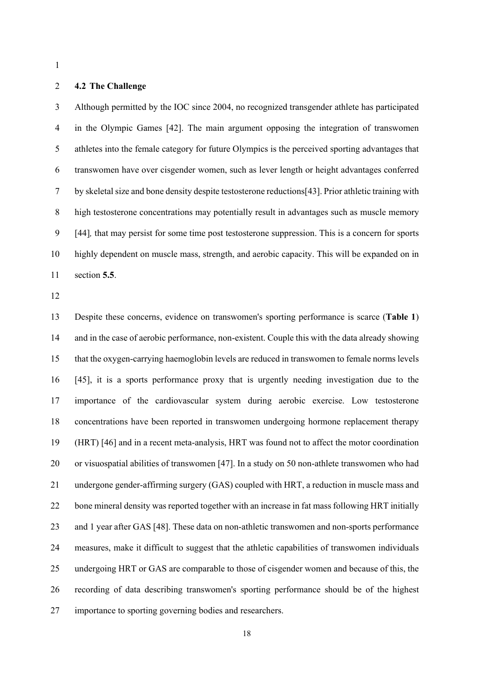#### **4.2 The Challenge**

 Although permitted by the IOC since 2004, no recognized transgender athlete has participated in the Olympic Games [42]. The main argument opposing the integration of transwomen athletes into the female category for future Olympics is the perceived sporting advantages that transwomen have over cisgender women, such as lever length or height advantages conferred by skeletal size and bone density despite testosterone reductions[43]. Prior athletic training with high testosterone concentrations may potentially result in advantages such as muscle memory [44]*,* that may persist for some time post testosterone suppression. This is a concern for sports highly dependent on muscle mass, strength, and aerobic capacity. This will be expanded on in section **[5.5](#page-24-0)**.

 Despite these concerns, evidence on transwomen's sporting performance is scarce (**[Table 1](#page-7-0)**) and in the case of aerobic performance, non-existent. Couple this with the data already showing that the oxygen-carrying haemoglobin levels are reduced in transwomen to female norms levels [45], it is a sports performance proxy that is urgently needing investigation due to the importance of the cardiovascular system during aerobic exercise. Low testosterone concentrations have been reported in transwomen undergoing hormone replacement therapy (HRT) [46] and in a recent meta-analysis, HRT was found not to affect the motor coordination or visuospatial abilities of transwomen [47]. In a study on 50 non-athlete transwomen who had undergone gender-affirming surgery (GAS) coupled with HRT, a reduction in muscle mass and bone mineral density was reported together with an increase in fat mass following HRT initially and 1 year after GAS [48]. These data on non-athletic transwomen and non-sports performance measures, make it difficult to suggest that the athletic capabilities of transwomen individuals undergoing HRT or GAS are comparable to those of cisgender women and because of this, the recording of data describing transwomen's sporting performance should be of the highest importance to sporting governing bodies and researchers.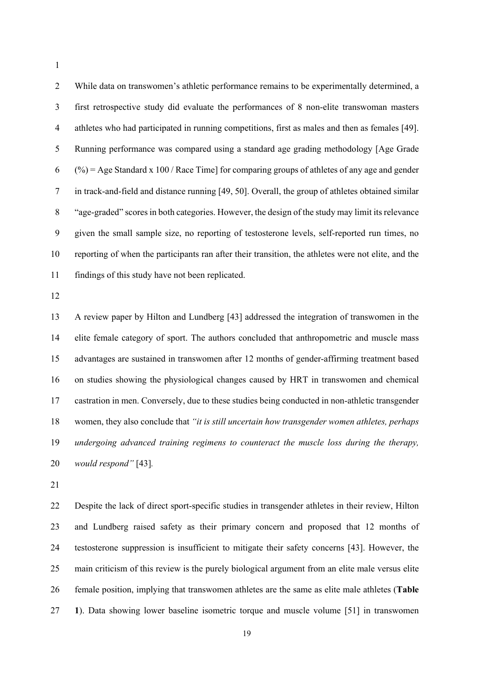While data on transwomen's athletic performance remains to be experimentally determined, a first retrospective study did evaluate the performances of 8 non-elite transwoman masters athletes who had participated in running competitions, first as males and then as females [49]. Running performance was compared using a standard age grading methodology [Age Grade 6 (%) = Age Standard x 100 / Race Time] for comparing groups of athletes of any age and gender in track-and-field and distance running [49, 50]. Overall, the group of athletes obtained similar "age-graded" scores in both categories. However, the design of the study may limit its relevance given the small sample size, no reporting of testosterone levels, self-reported run times, no reporting of when the participants ran after their transition, the athletes were not elite, and the findings of this study have not been replicated.

 A review paper by Hilton and Lundberg [43] addressed the integration of transwomen in the elite female category of sport. The authors concluded that anthropometric and muscle mass advantages are sustained in transwomen after 12 months of gender-affirming treatment based on studies showing the physiological changes caused by HRT in transwomen and chemical castration in men. Conversely, due to these studies being conducted in non-athletic transgender women, they also conclude that *"it is still uncertain how transgender women athletes, perhaps undergoing advanced training regimens to counteract the muscle loss during the therapy, would respond"* [43]*.*

 Despite the lack of direct sport-specific studies in transgender athletes in their review, Hilton and Lundberg raised safety as their primary concern and proposed that 12 months of testosterone suppression is insufficient to mitigate their safety concerns [43]. However, the main criticism of this review is the purely biological argument from an elite male versus elite female position, implying that transwomen athletes are the same as elite male athletes (**[Table](#page-7-0)  [1](#page-7-0)**). Data showing lower baseline isometric torque and muscle volume [51] in transwomen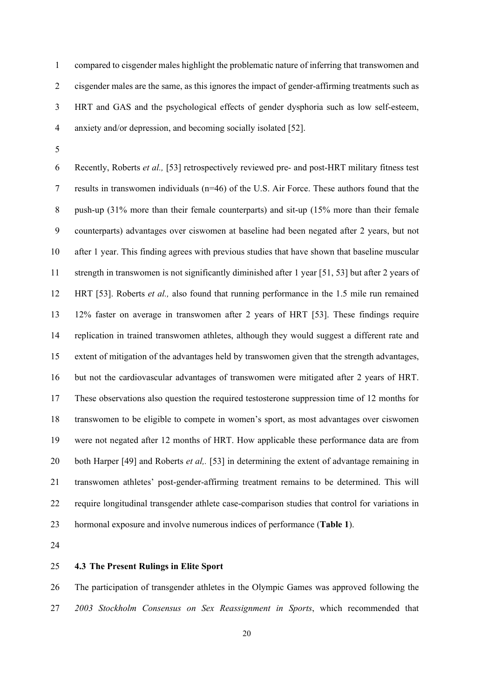compared to cisgender males highlight the problematic nature of inferring that transwomen and cisgender males are the same, as this ignores the impact of gender-affirming treatments such as HRT and GAS and the psychological effects of gender dysphoria such as low self-esteem, anxiety and/or depression, and becoming socially isolated [52].

 Recently, Roberts *et al.,* [53] retrospectively reviewed pre- and post-HRT military fitness test results in transwomen individuals (n=46) of the U.S. Air Force. These authors found that the push-up (31% more than their female counterparts) and sit-up (15% more than their female counterparts) advantages over ciswomen at baseline had been negated after 2 years, but not after 1 year. This finding agrees with previous studies that have shown that baseline muscular strength in transwomen is not significantly diminished after 1 year [51, 53] but after 2 years of HRT [53]. Roberts *et al.,* also found that running performance in the 1.5 mile run remained 12% faster on average in transwomen after 2 years of HRT [53]. These findings require replication in trained transwomen athletes, although they would suggest a different rate and extent of mitigation of the advantages held by transwomen given that the strength advantages, but not the cardiovascular advantages of transwomen were mitigated after 2 years of HRT. These observations also question the required testosterone suppression time of 12 months for transwomen to be eligible to compete in women's sport, as most advantages over ciswomen were not negated after 12 months of HRT. How applicable these performance data are from both Harper [49] and Roberts *et al,.* [53] in determining the extent of advantage remaining in transwomen athletes' post-gender-affirming treatment remains to be determined. This will require longitudinal transgender athlete case-comparison studies that control for variations in hormonal exposure and involve numerous indices of performance (**[Table 1](#page-7-0)**).

## **4.3 The Present Rulings in Elite Sport**

 The participation of transgender athletes in the Olympic Games was approved following the *2003 Stockholm Consensus on Sex Reassignment in Sports*, which recommended that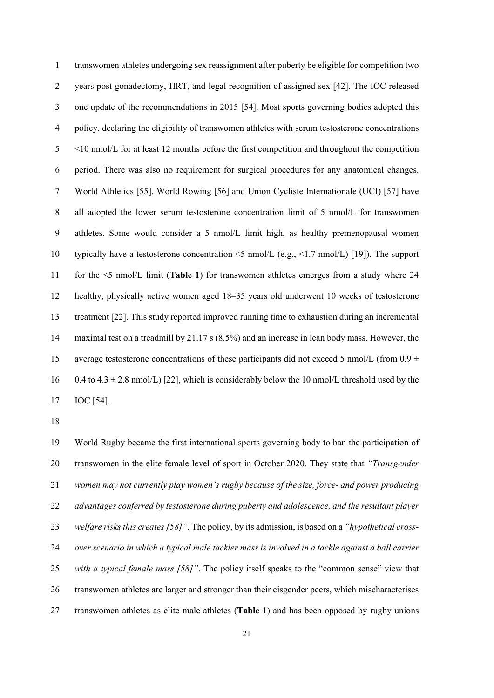transwomen athletes undergoing sex reassignment after puberty be eligible for competition two years post gonadectomy, HRT, and legal recognition of assigned sex [42]. The IOC released one update of the recommendations in 2015 [54]. Most sports governing bodies adopted this policy, declaring the eligibility of transwomen athletes with serum testosterone concentrations <10 nmol/L for at least 12 months before the first competition and throughout the competition period. There was also no requirement for surgical procedures for any anatomical changes. World Athletics [55], World Rowing [56] and Union Cycliste Internationale (UCI) [57] have all adopted the lower serum testosterone concentration limit of 5 nmol/L for transwomen athletes. Some would consider a 5 nmol/L limit high, as healthy premenopausal women typically have a testosterone concentration <5 nmol/L (e.g., <1.7 nmol/L) [19]). The support for the <5 nmol/L limit (**[Table 1](#page-7-0)**) for transwomen athletes emerges from a study where 24 healthy, physically active women aged 18–35 years old underwent 10 weeks of testosterone treatment [22]. This study reported improved running time to exhaustion during an incremental maximal test on a treadmill by 21.17 s (8.5%) and an increase in lean body mass. However, the 15 average testosterone concentrations of these participants did not exceed 5 nmol/L (from  $0.9 \pm 10^{-1}$ ) 16 0.4 to  $4.3 \pm 2.8$  nmol/L) [22], which is considerably below the 10 nmol/L threshold used by the IOC [54].

 World Rugby became the first international sports governing body to ban the participation of transwomen in the elite female level of sport in October 2020. They state that *"Transgender women may not currently play women's rugby because of the size, force- and power producing advantages conferred by testosterone during puberty and adolescence, and the resultant player welfare risks this creates [58]"*. The policy, by its admission, is based on a *"hypothetical cross- over scenario in which a typical male tackler mass is involved in a tackle against a ball carrier with a typical female mass [58]"*. The policy itself speaks to the "common sense" view that transwomen athletes are larger and stronger than their cisgender peers, which mischaracterises transwomen athletes as elite male athletes (**[Table 1](#page-7-0)**) and has been opposed by rugby unions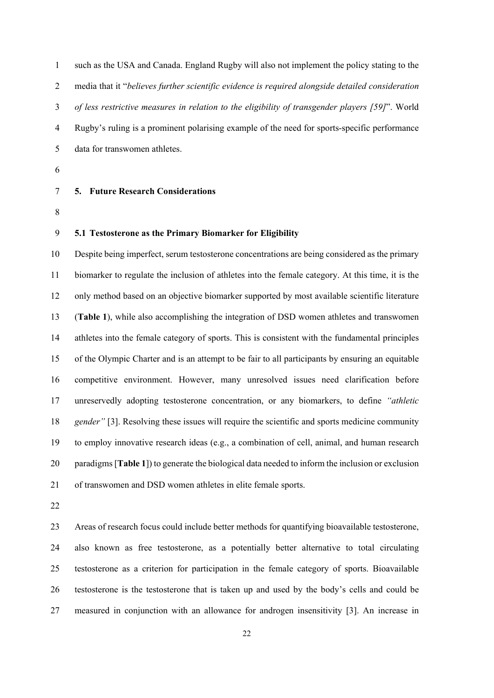such as the USA and Canada. England Rugby will also not implement the policy stating to the media that it "*believes further scientific evidence is required alongside detailed consideration of less restrictive measures in relation to the eligibility of transgender players [59]*". World Rugby's ruling is a prominent polarising example of the need for sports-specific performance data for transwomen athletes.

- 
- 

## <span id="page-21-0"></span>**5. Future Research Considerations**

## **5.1 Testosterone as the Primary Biomarker for Eligibility**

 Despite being imperfect, serum testosterone concentrations are being considered as the primary biomarker to regulate the inclusion of athletes into the female category. At this time, it is the only method based on an objective biomarker supported by most available scientific literature (**[Table 1](#page-7-0)**), while also accomplishing the integration of DSD women athletes and transwomen athletes into the female category of sports. This is consistent with the fundamental principles of the Olympic Charter and is an attempt to be fair to all participants by ensuring an equitable competitive environment. However, many unresolved issues need clarification before unreservedly adopting testosterone concentration, or any biomarkers, to define *"athletic gender"* [3]. Resolving these issues will require the scientific and sports medicine community to employ innovative research ideas (e.g., a combination of cell, animal, and human research paradigms[**[Table 1](#page-7-0)**]) to generate the biological data needed to inform the inclusion or exclusion of transwomen and DSD women athletes in elite female sports.

 Areas of research focus could include better methods for quantifying bioavailable testosterone, also known as free testosterone, as a potentially better alternative to total circulating testosterone as a criterion for participation in the female category of sports. Bioavailable testosterone is the testosterone that is taken up and used by the body's cells and could be measured in conjunction with an allowance for androgen insensitivity [3]. An increase in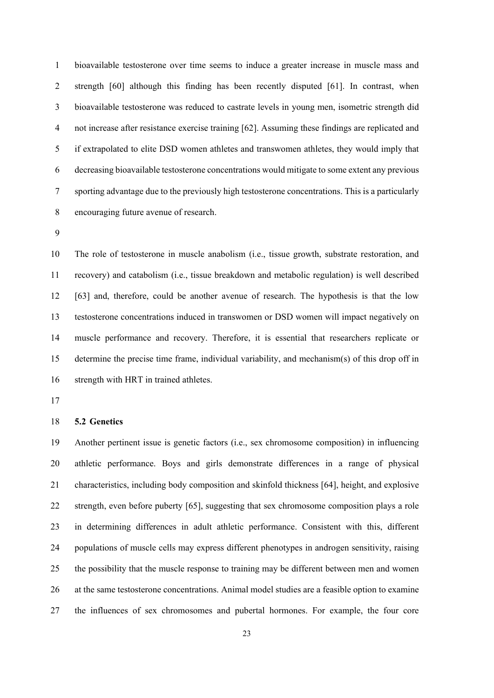bioavailable testosterone over time seems to induce a greater increase in muscle mass and strength [60] although this finding has been recently disputed [61]. In contrast, when bioavailable testosterone was reduced to castrate levels in young men, isometric strength did not increase after resistance exercise training [62]. Assuming these findings are replicated and if extrapolated to elite DSD women athletes and transwomen athletes, they would imply that decreasing bioavailable testosterone concentrations would mitigate to some extent any previous sporting advantage due to the previously high testosterone concentrations. This is a particularly encouraging future avenue of research.

 The role of testosterone in muscle anabolism (i.e., tissue growth, substrate restoration, and recovery) and catabolism (i.e., tissue breakdown and metabolic regulation) is well described [63] and, therefore, could be another avenue of research. The hypothesis is that the low testosterone concentrations induced in transwomen or DSD women will impact negatively on muscle performance and recovery. Therefore, it is essential that researchers replicate or determine the precise time frame, individual variability, and mechanism(s) of this drop off in 16 strength with HRT in trained athletes.

## **5.2 Genetics**

 Another pertinent issue is genetic factors (i.e., sex chromosome composition) in influencing athletic performance. Boys and girls demonstrate differences in a range of physical characteristics, including body composition and skinfold thickness [64], height, and explosive strength, even before puberty [65], suggesting that sex chromosome composition plays a role in determining differences in adult athletic performance. Consistent with this, different populations of muscle cells may express different phenotypes in androgen sensitivity, raising the possibility that the muscle response to training may be different between men and women at the same testosterone concentrations. Animal model studies are a feasible option to examine the influences of sex chromosomes and pubertal hormones. For example, the four core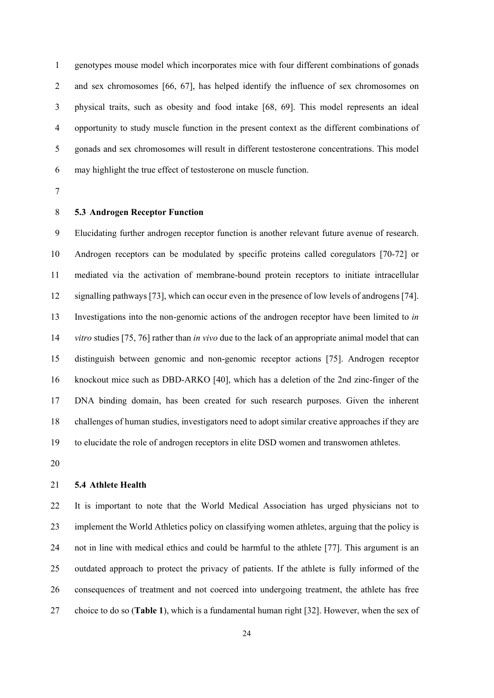genotypes mouse model which incorporates mice with four different combinations of gonads 2 and sex chromosomes [66, 67], has helped identify the influence of sex chromosomes on physical traits, such as obesity and food intake [68, 69]. This model represents an ideal opportunity to study muscle function in the present context as the different combinations of gonads and sex chromosomes will result in different testosterone concentrations. This model may highlight the true effect of testosterone on muscle function.

## **5.3 Androgen Receptor Function**

 Elucidating further androgen receptor function is another relevant future avenue of research. Androgen receptors can be modulated by specific proteins called coregulators [70-72] or mediated via the activation of membrane-bound protein receptors to initiate intracellular signalling pathways [73], which can occur even in the presence of low levels of androgens [74]. Investigations into the non-genomic actions of the androgen receptor have been limited to *in vitro* studies [75, 76] rather than *in vivo* due to the lack of an appropriate animal model that can distinguish between genomic and non-genomic receptor actions [75]. Androgen receptor knockout mice such as DBD-ARKO [40], which has a deletion of the 2nd zinc-finger of the DNA binding domain, has been created for such research purposes. Given the inherent challenges of human studies, investigators need to adopt similar creative approaches if they are to elucidate the role of androgen receptors in elite DSD women and transwomen athletes.

## **5.4 Athlete Health**

 It is important to note that the World Medical Association has urged physicians not to implement the World Athletics policy on classifying women athletes, arguing that the policy is not in line with medical ethics and could be harmful to the athlete [77]. This argument is an outdated approach to protect the privacy of patients. If the athlete is fully informed of the consequences of treatment and not coerced into undergoing treatment, the athlete has free choice to do so (**[Table 1](#page-7-0)**), which is a fundamental human right [32]. However, when the sex of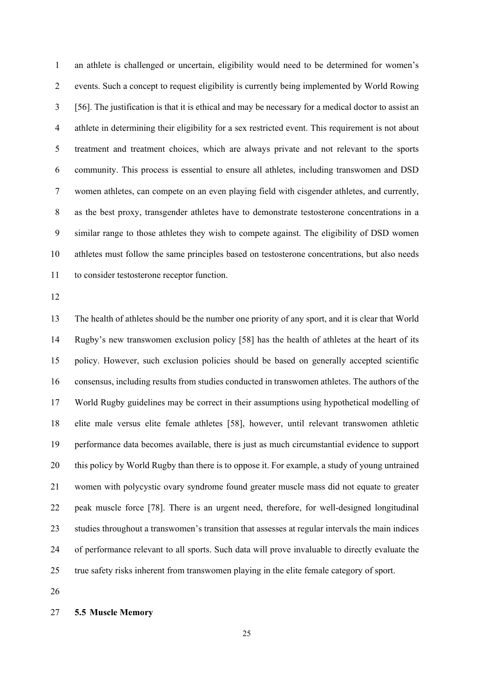an athlete is challenged or uncertain, eligibility would need to be determined for women's events. Such a concept to request eligibility is currently being implemented by World Rowing [56]. The justification is that it is ethical and may be necessary for a medical doctor to assist an athlete in determining their eligibility for a sex restricted event. This requirement is not about treatment and treatment choices, which are always private and not relevant to the sports community. This process is essential to ensure all athletes, including transwomen and DSD women athletes, can compete on an even playing field with cisgender athletes, and currently, as the best proxy, transgender athletes have to demonstrate testosterone concentrations in a similar range to those athletes they wish to compete against. The eligibility of DSD women athletes must follow the same principles based on testosterone concentrations, but also needs to consider testosterone receptor function.

 The health of athletes should be the number one priority of any sport, and it is clear that World Rugby's new transwomen exclusion policy [58] has the health of athletes at the heart of its policy. However, such exclusion policies should be based on generally accepted scientific consensus, including results from studies conducted in transwomen athletes. The authors of the World Rugby guidelines may be correct in their assumptions using hypothetical modelling of elite male versus elite female athletes [58], however, until relevant transwomen athletic performance data becomes available, there is just as much circumstantial evidence to support this policy by World Rugby than there is to oppose it. For example, a study of young untrained women with polycystic ovary syndrome found greater muscle mass did not equate to greater peak muscle force [78]. There is an urgent need, therefore, for well-designed longitudinal studies throughout a transwomen's transition that assesses at regular intervals the main indices of performance relevant to all sports. Such data will prove invaluable to directly evaluate the true safety risks inherent from transwomen playing in the elite female category of sport.

#### <span id="page-24-0"></span>**5.5 Muscle Memory**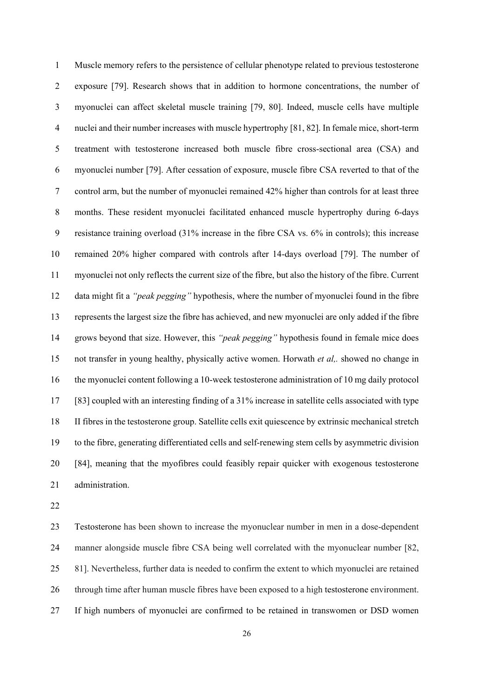Muscle memory refers to the persistence of cellular phenotype related to previous testosterone exposure [79]. Research shows that in addition to hormone concentrations, the number of myonuclei can affect skeletal muscle training [79, 80]. Indeed, muscle cells have multiple nuclei and their number increases with muscle hypertrophy [81, 82]. In female mice, short-term treatment with testosterone increased both muscle fibre cross-sectional area (CSA) and myonuclei number [79]. After cessation of exposure, muscle fibre CSA reverted to that of the control arm, but the number of myonuclei remained 42% higher than controls for at least three months. These resident myonuclei facilitated enhanced muscle hypertrophy during 6-days resistance training overload (31% increase in the fibre CSA vs. 6% in controls); this increase remained 20% higher compared with controls after 14-days overload [79]. The number of myonuclei not only reflects the current size of the fibre, but also the history of the fibre. Current data might fit a *"peak pegging"* hypothesis, where the number of myonuclei found in the fibre represents the largest size the fibre has achieved, and new myonuclei are only added if the fibre grows beyond that size. However, this *"peak pegging"* hypothesis found in female mice does not transfer in young healthy, physically active women. Horwath *et al,.* showed no change in the myonuclei content following a 10-week testosterone administration of 10 mg daily protocol [83] coupled with an interesting finding of a 31% increase in satellite cells associated with type II fibres in the testosterone group. Satellite cells exit quiescence by extrinsic mechanical stretch to the fibre, generating differentiated cells and self-renewing stem cells by asymmetric division [84], meaning that the myofibres could feasibly repair quicker with exogenous testosterone administration.

 Testosterone has been shown to increase the myonuclear number in men in a dose-dependent manner alongside muscle fibre CSA being well correlated with the myonuclear number [82, 81]. Nevertheless, further data is needed to confirm the extent to which myonuclei are retained through time after human muscle fibres have been exposed to a high testosterone environment. If high numbers of myonuclei are confirmed to be retained in transwomen or DSD women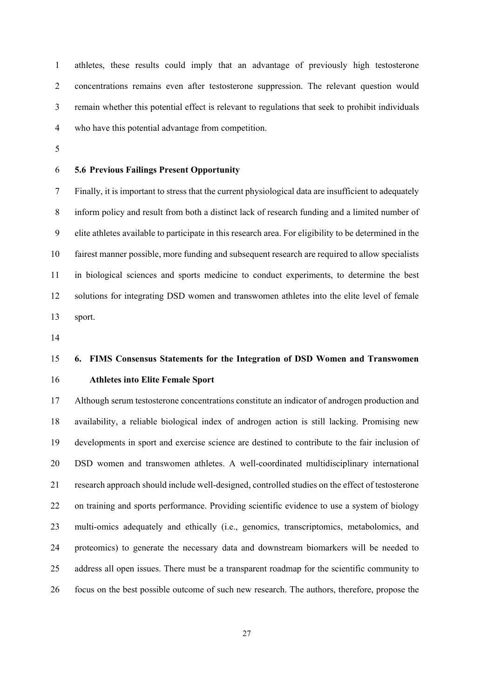athletes, these results could imply that an advantage of previously high testosterone concentrations remains even after testosterone suppression. The relevant question would remain whether this potential effect is relevant to regulations that seek to prohibit individuals who have this potential advantage from competition.

- 
- 

## **5.6 Previous Failings Present Opportunity**

 Finally, it is important to stress that the current physiological data are insufficient to adequately inform policy and result from both a distinct lack of research funding and a limited number of elite athletes available to participate in this research area. For eligibility to be determined in the fairest manner possible, more funding and subsequent research are required to allow specialists in biological sciences and sports medicine to conduct experiments, to determine the best solutions for integrating DSD women and transwomen athletes into the elite level of female sport.

# **6. FIMS Consensus Statements for the Integration of DSD Women and Transwomen**

## **Athletes into Elite Female Sport**

 Although serum testosterone concentrations constitute an indicator of androgen production and availability, a reliable biological index of androgen action is still lacking. Promising new developments in sport and exercise science are destined to contribute to the fair inclusion of DSD women and transwomen athletes. A well-coordinated multidisciplinary international research approach should include well-designed, controlled studies on the effect of testosterone on training and sports performance. Providing scientific evidence to use a system of biology multi-omics adequately and ethically (i.e., genomics, transcriptomics, metabolomics, and proteomics) to generate the necessary data and downstream biomarkers will be needed to address all open issues. There must be a transparent roadmap for the scientific community to focus on the best possible outcome of such new research. The authors, therefore, propose the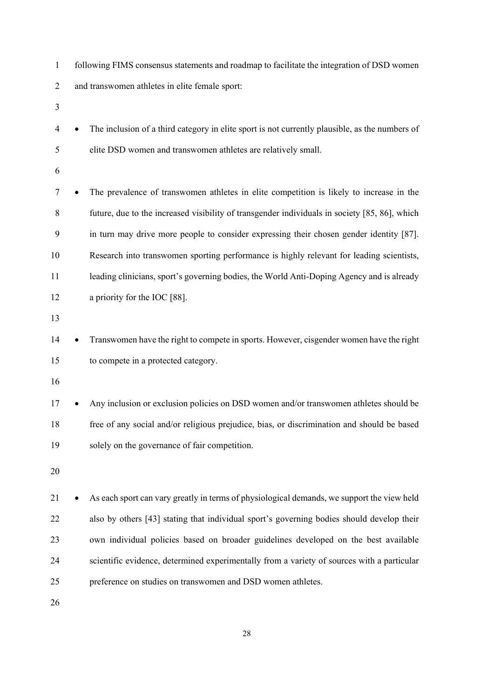following FIMS consensus statements and roadmap to facilitate the integration of DSD women and transwomen athletes in elite female sport:

 • The inclusion of a third category in elite sport is not currently plausible, as the numbers of elite DSD women and transwomen athletes are relatively small.

 • The prevalence of transwomen athletes in elite competition is likely to increase in the future, due to the increased visibility of transgender individuals in society [85, 86], which in turn may drive more people to consider expressing their chosen gender identity [87]. Research into transwomen sporting performance is highly relevant for leading scientists, leading clinicians, sport's governing bodies, the World Anti-Doping Agency and is already 12 a priority for the IOC [88].

14 • Transwomen have the right to compete in sports. However, cisgender women have the right to compete in a protected category.

17 • Any inclusion or exclusion policies on DSD women and/or transwomen athletes should be free of any social and/or religious prejudice, bias, or discrimination and should be based solely on the governance of fair competition.

 • As each sport can vary greatly in terms of physiological demands, we support the view held also by others [43] stating that individual sport's governing bodies should develop their own individual policies based on broader guidelines developed on the best available scientific evidence, determined experimentally from a variety of sources with a particular preference on studies on transwomen and DSD women athletes.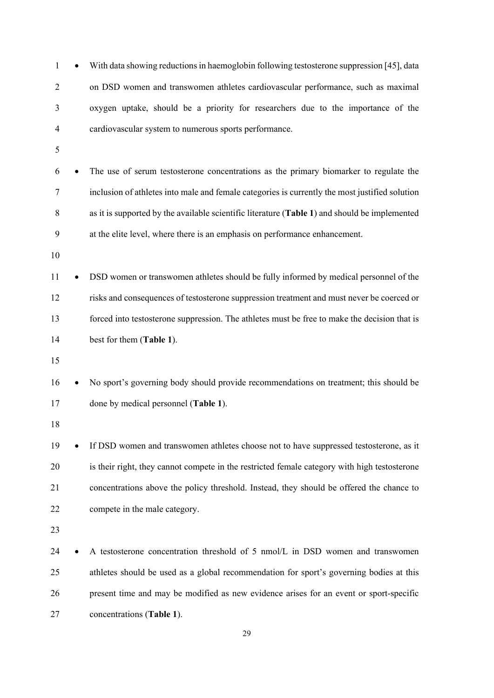| $\mathbf{1}$   | With data showing reductions in haemoglobin following testosterone suppression [45], data      |
|----------------|------------------------------------------------------------------------------------------------|
| $\overline{2}$ | on DSD women and transwomen athletes cardiovascular performance, such as maximal               |
| 3              | oxygen uptake, should be a priority for researchers due to the importance of the               |
| 4              | cardiovascular system to numerous sports performance.                                          |
| 5              |                                                                                                |
| 6              | The use of serum testosterone concentrations as the primary biomarker to regulate the          |
| 7              | inclusion of athletes into male and female categories is currently the most justified solution |
| 8              | as it is supported by the available scientific literature (Table 1) and should be implemented  |
| 9              | at the elite level, where there is an emphasis on performance enhancement.                     |
| 10             |                                                                                                |
| 11             | DSD women or transwomen athletes should be fully informed by medical personnel of the          |
| 12             | risks and consequences of testosterone suppression treatment and must never be coerced or      |
| 13             | forced into testosterone suppression. The athletes must be free to make the decision that is   |
| 14             | best for them (Table 1).                                                                       |
| 15             |                                                                                                |
| 16             | No sport's governing body should provide recommendations on treatment; this should be          |
| 17             | done by medical personnel (Table 1).                                                           |
| 18             |                                                                                                |
| 19             | If DSD women and transwomen athletes choose not to have suppressed testosterone, as it         |
| 20             | is their right, they cannot compete in the restricted female category with high testosterone   |
| 21             | concentrations above the policy threshold. Instead, they should be offered the chance to       |
| 22             | compete in the male category.                                                                  |
| 23             |                                                                                                |
| 24             | A testosterone concentration threshold of 5 nmol/L in DSD women and transwomen                 |
| 25             | athletes should be used as a global recommendation for sport's governing bodies at this        |
| 26             | present time and may be modified as new evidence arises for an event or sport-specific         |
| 27             | concentrations (Table 1).                                                                      |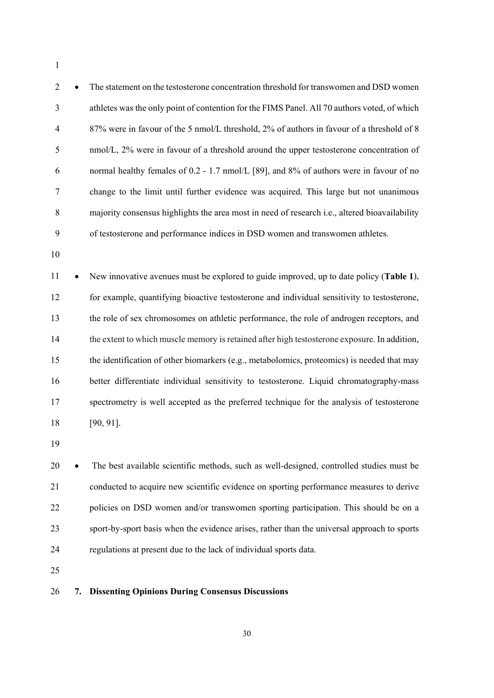• The statement on the testosterone concentration threshold for transwomen and DSD women athletes was the only point of contention for the FIMS Panel. All 70 authors voted, of which 87% were in favour of the 5 nmol/L threshold, 2% of authors in favour of a threshold of 8 nmol/L, 2% were in favour of a threshold around the upper testosterone concentration of normal healthy females of 0.2 - 1.7 nmol/L [89], and 8% of authors were in favour of no change to the limit until further evidence was acquired. This large but not unanimous majority consensus highlights the area most in need of research i.e., altered bioavailability of testosterone and performance indices in DSD women and transwomen athletes. • New innovative avenues must be explored to guide improved, up to date policy (**[Table 1](#page-7-0)**), for example, quantifying bioactive testosterone and individual sensitivity to testosterone,

 the role of sex chromosomes on athletic performance, the role of androgen receptors, and the extent to which muscle memory is retained after high testosterone exposure. In addition, the identification of other biomarkers (e.g., metabolomics, proteomics) is needed that may better differentiate individual sensitivity to testosterone. Liquid chromatography-mass spectrometry is well accepted as the preferred technique for the analysis of testosterone [90, 91].

 • The best available scientific methods, such as well-designed, controlled studies must be conducted to acquire new scientific evidence on sporting performance measures to derive policies on DSD women and/or transwomen sporting participation. This should be on a sport-by-sport basis when the evidence arises, rather than the universal approach to sports regulations at present due to the lack of individual sports data.

## **7. Dissenting Opinions During Consensus Discussions**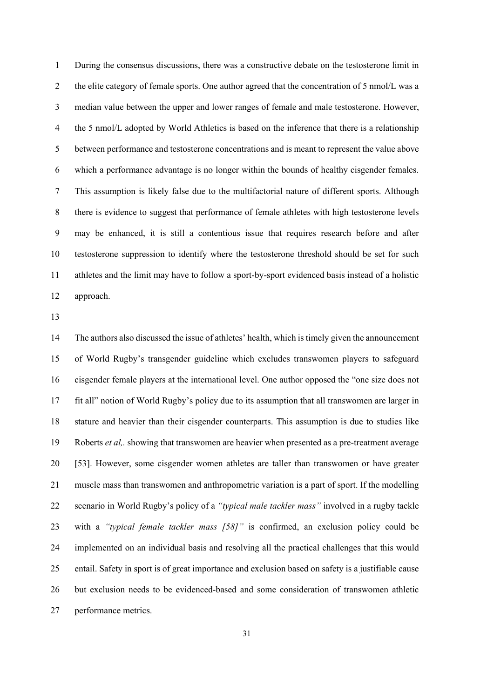During the consensus discussions, there was a constructive debate on the testosterone limit in 2 the elite category of female sports. One author agreed that the concentration of 5 nmol/L was a median value between the upper and lower ranges of female and male testosterone. However, the 5 nmol/L adopted by World Athletics is based on the inference that there is a relationship between performance and testosterone concentrations and is meant to represent the value above which a performance advantage is no longer within the bounds of healthy cisgender females. This assumption is likely false due to the multifactorial nature of different sports. Although there is evidence to suggest that performance of female athletes with high testosterone levels may be enhanced, it is still a contentious issue that requires research before and after testosterone suppression to identify where the testosterone threshold should be set for such athletes and the limit may have to follow a sport-by-sport evidenced basis instead of a holistic approach.

 The authors also discussed the issue of athletes' health, which is timely given the announcement of World Rugby's transgender guideline which excludes transwomen players to safeguard cisgender female players at the international level. One author opposed the "one size does not fit all" notion of World Rugby's policy due to its assumption that all transwomen are larger in stature and heavier than their cisgender counterparts. This assumption is due to studies like Roberts *et al,.* showing that transwomen are heavier when presented as a pre-treatment average [53]. However, some cisgender women athletes are taller than transwomen or have greater muscle mass than transwomen and anthropometric variation is a part of sport. If the modelling scenario in World Rugby's policy of a *"typical male tackler mass"* involved in a rugby tackle with a *"typical female tackler mass [58]"* is confirmed, an exclusion policy could be implemented on an individual basis and resolving all the practical challenges that this would entail. Safety in sport is of great importance and exclusion based on safety is a justifiable cause but exclusion needs to be evidenced-based and some consideration of transwomen athletic performance metrics.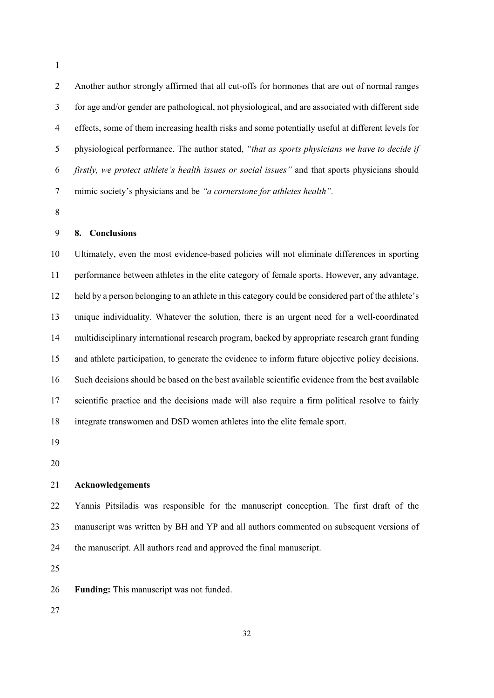Another author strongly affirmed that all cut-offs for hormones that are out of normal ranges for age and/or gender are pathological, not physiological, and are associated with different side effects, some of them increasing health risks and some potentially useful at different levels for physiological performance. The author stated, *"that as sports physicians we have to decide if firstly, we protect athlete's health issues or social issues"* and that sports physicians should mimic society's physicians and be *"a cornerstone for athletes health".*

#### **8. Conclusions**

 Ultimately, even the most evidence-based policies will not eliminate differences in sporting performance between athletes in the elite category of female sports. However, any advantage, held by a person belonging to an athlete in this category could be considered part of the athlete's unique individuality. Whatever the solution, there is an urgent need for a well-coordinated multidisciplinary international research program, backed by appropriate research grant funding and athlete participation, to generate the evidence to inform future objective policy decisions. Such decisions should be based on the best available scientific evidence from the best available 17 scientific practice and the decisions made will also require a firm political resolve to fairly integrate transwomen and DSD women athletes into the elite female sport.

## **Acknowledgements**

 Yannis Pitsiladis was responsible for the manuscript conception. The first draft of the manuscript was written by BH and YP and all authors commented on subsequent versions of the manuscript. All authors read and approved the final manuscript.

**Funding:** This manuscript was not funded.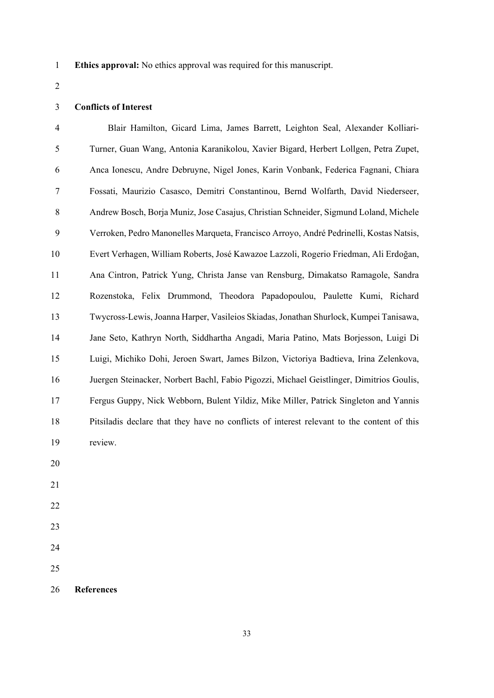**Ethics approval:** No ethics approval was required for this manuscript.

#### **Conflicts of Interest**

4 Blair Hamilton, Gicard Lima, James Barrett, Leighton Seal, Alexander Kolliari- Turner, Guan Wang, Antonia Karanikolou, Xavier Bigard, Herbert Lollgen, Petra Zupet, Anca Ionescu, Andre Debruyne, Nigel Jones, Karin Vonbank, Federica Fagnani, Chiara Fossati, Maurizio Casasco, Demitri Constantinou, Bernd Wolfarth, David Niederseer, Andrew Bosch, Borja Muniz, Jose Casajus, Christian Schneider, Sigmund Loland, Michele Verroken, Pedro Manonelles Marqueta, Francisco Arroyo, André Pedrinelli, Kostas Natsis, Evert Verhagen, William Roberts, José Kawazoe Lazzoli, Rogerio Friedman, Ali Erdoğan, Ana Cintron, Patrick Yung, Christa Janse van Rensburg, Dimakatso Ramagole, Sandra Rozenstoka, Felix Drummond, Theodora Papadopoulou, Paulette Kumi, Richard Twycross-Lewis, Joanna Harper, Vasileios Skiadas, Jonathan Shurlock, Kumpei Tanisawa, Jane Seto, Kathryn North, Siddhartha Angadi, Maria Patino, Mats Borjesson, Luigi Di Luigi, Michiko Dohi, Jeroen Swart, James Bilzon, Victoriya Badtieva, Irina Zelenkova, Juergen Steinacker, Norbert Bachl, Fabio Pigozzi, Michael Geistlinger, Dimitrios Goulis, Fergus Guppy, Nick Webborn, Bulent Yildiz, Mike Miller, Patrick Singleton and Yannis Pitsiladis declare that they have no conflicts of interest relevant to the content of this review. 

- 
- 
- 

**References**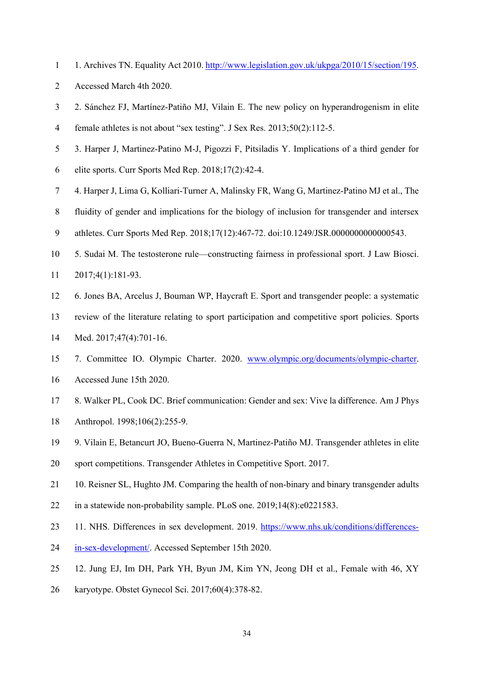- 1. Archives TN. Equality Act 2010[. http://www.legislation.gov.uk/ukpga/2010/15/section/195.](http://www.legislation.gov.uk/ukpga/2010/15/section/195)
- Accessed March 4th 2020.
- 2. Sánchez FJ, Martínez-Patiño MJ, Vilain E. The new policy on hyperandrogenism in elite female athletes is not about "sex testing". J Sex Res. 2013;50(2):112-5.
- 3. Harper J, Martinez-Patino M-J, Pigozzi F, Pitsiladis Y. Implications of a third gender for elite sports. Curr Sports Med Rep. 2018;17(2):42-4.
- 4. Harper J, Lima G, Kolliari-Turner A, Malinsky FR, Wang G, Martinez-Patino MJ et al., The
- fluidity of gender and implications for the biology of inclusion for transgender and intersex
- athletes. Curr Sports Med Rep. 2018;17(12):467-72. doi:10.1249/JSR.0000000000000543.
- 5. Sudai M. The testosterone rule—constructing fairness in professional sport. J Law Biosci. 2017;4(1):181-93.
- 6. Jones BA, Arcelus J, Bouman WP, Haycraft E. Sport and transgender people: a systematic
- review of the literature relating to sport participation and competitive sport policies. Sports
- Med. 2017;47(4):701-16.
- 7. Committee IO. Olympic Charter. 2020. www.olympic.org/documents/olympic-charter. Accessed June 15th 2020.
- 8. Walker PL, Cook DC. Brief communication: Gender and sex: Vive la difference. Am J Phys
- Anthropol. 1998;106(2):255-9.
- 9. Vilain E, Betancurt JO, Bueno-Guerra N, Martinez-Patiño MJ. Transgender athletes in elite
- sport competitions. Transgender Athletes in Competitive Sport. 2017.
- 10. Reisner SL, Hughto JM. Comparing the health of non-binary and binary transgender adults 22 in a statewide non-probability sample. PLoS one. 2019;14(8):e0221583.
- 11. NHS. Differences in sex development. 2019. [https://www.nhs.uk/conditions/differences-](https://www.nhs.uk/conditions/differences-in-sex-development/)[in-sex-development/.](https://www.nhs.uk/conditions/differences-in-sex-development/) Accessed September 15th 2020.
- 12. Jung EJ, Im DH, Park YH, Byun JM, Kim YN, Jeong DH et al., Female with 46, XY
- karyotype. Obstet Gynecol Sci. 2017;60(4):378-82.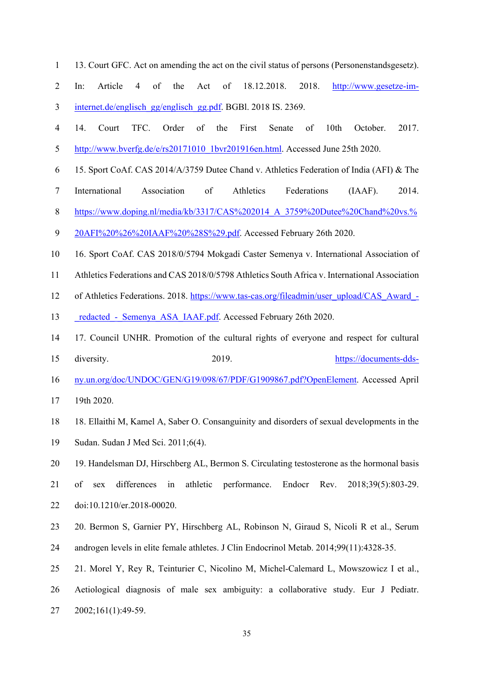|  |  |  |  |  | 13. Court GFC. Act on amending the act on the civil status of persons (Personenstandsgesetz). |  |
|--|--|--|--|--|-----------------------------------------------------------------------------------------------|--|
|  |  |  |  |  |                                                                                               |  |

- In: Article 4 of the Act of 18.12.2018. 2018. [http://www.gesetze-im-](http://www.gesetze-im-internet.de/englisch_gg/englisch_gg.pdf)[internet.de/englisch\\_gg/englisch\\_gg.pdf.](http://www.gesetze-im-internet.de/englisch_gg/englisch_gg.pdf) BGBl. 2018 IS. 2369.
- 14. Court TFC. Order of the First Senate of 10th October. 2017. [http://www.bverfg.de/e/rs20171010\\_1bvr201916en.html.](http://www.bverfg.de/e/rs20171010_1bvr201916en.html) Accessed June 25th 2020.
- 15. Sport CoAf. CAS 2014/A/3759 Dutee Chand v. Athletics Federation of India (AFI) & The
- International Association of Athletics Federations (IAAF). 2014.
- 8 https://www.doping.nl/media/kb/3317/CAS%202014 A 3759%20Dutee%20Chand%20vs.%
- [20AFI%20%26%20IAAF%20%28S%29.pdf.](https://www.doping.nl/media/kb/3317/CAS%202014_A_3759%20Dutee%20Chand%20vs.%20AFI%20%26%20IAAF%20%28S%29.pdf) Accessed February 26th 2020.
- 16. Sport CoAf. CAS 2018/0/5794 Mokgadi Caster Semenya v. International Association of
- Athletics Federations and CAS 2018/0/5798 Athletics South Africa v. International Association
- of Athletics Federations. 2018. [https://www.tas-cas.org/fileadmin/user\\_upload/CAS\\_Award\\_-](https://www.tas-cas.org/fileadmin/user_upload/CAS_Award_-_redacted_-_Semenya_ASA_IAAF.pdf)
- 13 redacted Semenya ASA IAAF.pdf. Accessed February 26th 2020.
- 17. Council UNHR. Promotion of the cultural rights of everyone and respect for cultural
- 15 diversity. 2019. [https://documents-dds-](https://documents-dds-ny.un.org/doc/UNDOC/GEN/G19/098/67/PDF/G1909867.pdf?OpenElement)
- [ny.un.org/doc/UNDOC/GEN/G19/098/67/PDF/G1909867.pdf?OpenElement.](https://documents-dds-ny.un.org/doc/UNDOC/GEN/G19/098/67/PDF/G1909867.pdf?OpenElement) Accessed April
- 19th 2020.
- 18. Ellaithi M, Kamel A, Saber O. Consanguinity and disorders of sexual developments in the
- Sudan. Sudan J Med Sci. 2011;6(4).
- 19. Handelsman DJ, Hirschberg AL, Bermon S. Circulating testosterone as the hormonal basis
- of sex differences in athletic performance. Endocr Rev. 2018;39(5):803-29. doi:10.1210/er.2018-00020.
- 20. Bermon S, Garnier PY, Hirschberg AL, Robinson N, Giraud S, Nicoli R et al., Serum androgen levels in elite female athletes. J Clin Endocrinol Metab. 2014;99(11):4328-35.
- 21. Morel Y, Rey R, Teinturier C, Nicolino M, Michel-Calemard L, Mowszowicz I et al.,
- Aetiological diagnosis of male sex ambiguity: a collaborative study. Eur J Pediatr. 2002;161(1):49-59.
	-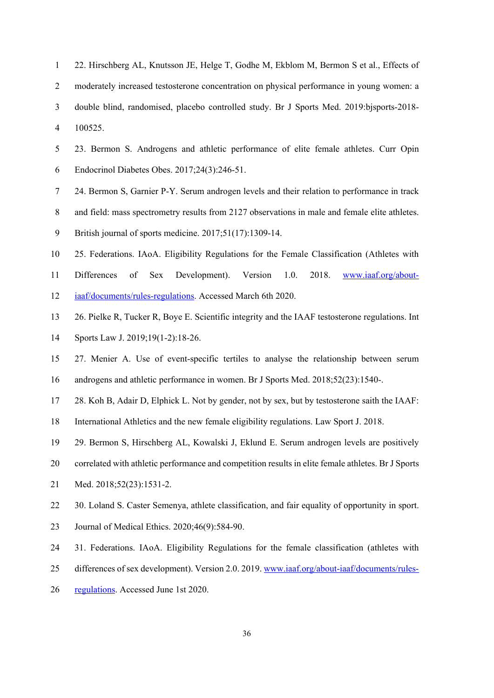|   | 22. Hirschberg AL, Knutsson JE, Helge T, Godhe M, Ekblom M, Bermon S et al., Effects of   |
|---|-------------------------------------------------------------------------------------------|
|   | moderately increased testosterone concentration on physical performance in young women: a |
|   | double blind, randomised, placebo controlled study. Br J Sports Med. 2019:bisports-2018-  |
| 4 | 100525.                                                                                   |

- 23. Bermon S. Androgens and athletic performance of elite female athletes. Curr Opin Endocrinol Diabetes Obes. 2017;24(3):246-51.
- 24. Bermon S, Garnier P-Y. Serum androgen levels and their relation to performance in track
- and field: mass spectrometry results from 2127 observations in male and female elite athletes.
- British journal of sports medicine. 2017;51(17):1309-14.
- 25. Federations. IAoA. Eligibility Regulations for the Female Classification (Athletes with
- Differences of Sex Development). Version 1.0. 2018. www.iaaf.org/about-iaaf/documents/rules-regulations. Accessed March 6th 2020.
- 26. Pielke R, Tucker R, Boye E. Scientific integrity and the IAAF testosterone regulations. Int
- Sports Law J. 2019;19(1-2):18-26.
- 27. Menier A. Use of event-specific tertiles to analyse the relationship between serum
- androgens and athletic performance in women. Br J Sports Med. 2018;52(23):1540-.
- 28. Koh B, Adair D, Elphick L. Not by gender, not by sex, but by testosterone saith the IAAF:
- International Athletics and the new female eligibility regulations. Law Sport J. 2018.
- 29. Bermon S, Hirschberg AL, Kowalski J, Eklund E. Serum androgen levels are positively
- correlated with athletic performance and competition results in elite female athletes. Br J Sports
- Med. 2018;52(23):1531-2.
- 30. Loland S. Caster Semenya, athlete classification, and fair equality of opportunity in sport.
- Journal of Medical Ethics. 2020;46(9):584-90.
- 31. Federations. IAoA. Eligibility Regulations for the female classification (athletes with
- differences of sex development). Version 2.0. 2019. www.iaaf.org/about-iaaf/documents/rules-
- regulations. Accessed June 1st 2020.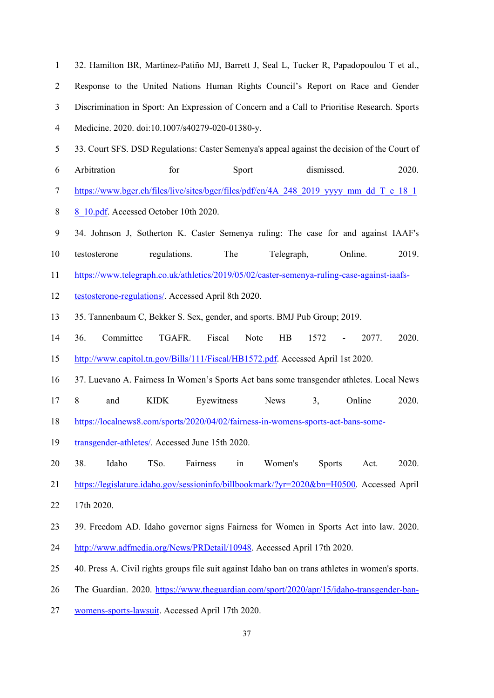- 32. Hamilton BR, Martinez-Patiño MJ, Barrett J, Seal L, Tucker R, Papadopoulou T et al., Response to the United Nations Human Rights Council's Report on Race and Gender Discrimination in Sport: An Expression of Concern and a Call to Prioritise Research. Sports Medicine. 2020. doi:10.1007/s40279-020-01380-y.
- 33. Court SFS. DSD Regulations: Caster Semenya's appeal against the decision of the Court of
- Arbitration for Sport dismissed. 2020.
- [https://www.bger.ch/files/live/sites/bger/files/pdf/en/4A\\_248\\_2019\\_yyyy\\_mm\\_dd\\_T\\_e\\_18\\_1](https://www.bger.ch/files/live/sites/bger/files/pdf/en/4A_248_2019_yyyy_mm_dd_T_e_18_18_10.pdf)
- 8 8<sup>10.pdf</sup>. Accessed October 10th 2020.
- 34. Johnson J, Sotherton K. Caster Semenya ruling: The case for and against IAAF's
- testosterone regulations. The Telegraph, Online. 2019.
- [https://www.telegraph.co.uk/athletics/2019/05/02/caster-semenya-ruling-case-against-iaafs-](https://www.telegraph.co.uk/athletics/2019/05/02/caster-semenya-ruling-case-against-iaafs-testosterone-regulations/)
- [testosterone-regulations/.](https://www.telegraph.co.uk/athletics/2019/05/02/caster-semenya-ruling-case-against-iaafs-testosterone-regulations/) Accessed April 8th 2020.
- 35. Tannenbaum C, Bekker S. Sex, gender, and sports. BMJ Pub Group; 2019.
- 36. Committee TGAFR. Fiscal Note HB 1572 2077. 2020. [http://www.capitol.tn.gov/Bills/111/Fiscal/HB1572.pdf.](http://www.capitol.tn.gov/Bills/111/Fiscal/HB1572.pdf) Accessed April 1st 2020.
- 37. Luevano A. Fairness In Women's Sports Act bans some transgender athletes. Local News
- 8 and KIDK Eyewitness News 3, Online 2020.
- [https://localnews8.com/sports/2020/04/02/fairness-in-womens-sports-act-bans-some-](https://localnews8.com/sports/2020/04/02/fairness-in-womens-sports-act-bans-some-transgender-athletes/)
- [transgender-athletes/.](https://localnews8.com/sports/2020/04/02/fairness-in-womens-sports-act-bans-some-transgender-athletes/) Accessed June 15th 2020.
- 38. Idaho TSo. Fairness in Women's Sports Act. 2020.
- [https://legislature.idaho.gov/sessioninfo/billbookmark/?yr=2020&bn=H0500.](https://legislature.idaho.gov/sessioninfo/billbookmark/?yr=2020&bn=H0500) Accessed April
- 17th 2020.
- 39. Freedom AD. Idaho governor signs Fairness for Women in Sports Act into law. 2020.
- [http://www.adfmedia.org/News/PRDetail/10948.](http://www.adfmedia.org/News/PRDetail/10948) Accessed April 17th 2020.
- 40. Press A. Civil rights groups file suit against Idaho ban on trans athletes in women's sports.
- The Guardian. 2020. [https://www.theguardian.com/sport/2020/apr/15/idaho-transgender-ban-](https://www.theguardian.com/sport/2020/apr/15/idaho-transgender-ban-womens-sports-lawsuit)
- [womens-sports-lawsuit.](https://www.theguardian.com/sport/2020/apr/15/idaho-transgender-ban-womens-sports-lawsuit) Accessed April 17th 2020.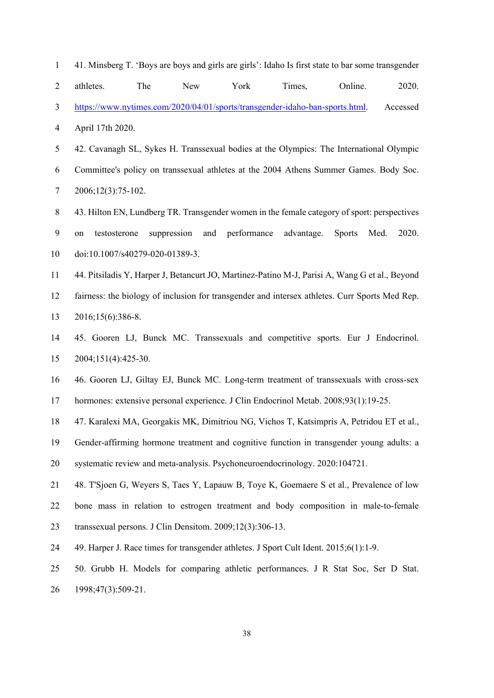| $\mathbf{1}$     | 41. Minsberg T. 'Boys are boys and girls are girls': Idaho Is first state to bar some transgender |             |     |                 |            |         |      |          |
|------------------|---------------------------------------------------------------------------------------------------|-------------|-----|-----------------|------------|---------|------|----------|
| $\overline{2}$   | athletes.                                                                                         | The         | New | York            | Times,     | Online. |      | 2020.    |
| 3                | https://www.nytimes.com/2020/04/01/sports/transgender-idaho-ban-sports.html.                      |             |     |                 |            |         |      | Accessed |
| $\overline{4}$   | April 17th 2020.                                                                                  |             |     |                 |            |         |      |          |
| 5                | 42. Cavanagh SL, Sykes H. Transsexual bodies at the Olympics: The International Olympic           |             |     |                 |            |         |      |          |
| 6                | Committee's policy on transsexual athletes at the 2004 Athens Summer Games. Body Soc.             |             |     |                 |            |         |      |          |
| 7                | 2006;12(3):75-102.                                                                                |             |     |                 |            |         |      |          |
| 8                | 43. Hilton EN, Lundberg TR. Transgender women in the female category of sport: perspectives       |             |     |                 |            |         |      |          |
| $\boldsymbol{9}$ | testosterone<br>on                                                                                | suppression |     | and performance | advantage. | Sports  | Med. | 2020.    |
| 10               | doi:10.1007/s40279-020-01389-3.                                                                   |             |     |                 |            |         |      |          |
| 11               | 44. Pitsiladis Y, Harper J, Betancurt JO, Martinez-Patino M-J, Parisi A, Wang G et al., Beyond    |             |     |                 |            |         |      |          |
| 12               | fairness: the biology of inclusion for transgender and intersex athletes. Curr Sports Med Rep.    |             |     |                 |            |         |      |          |
| 13               | 2016;15(6):386-8.                                                                                 |             |     |                 |            |         |      |          |
| 14               | 45. Gooren LJ, Bunck MC. Transsexuals and competitive sports. Eur J Endocrinol.                   |             |     |                 |            |         |      |          |
| 15               | 2004;151(4):425-30.                                                                               |             |     |                 |            |         |      |          |
| 16               | 46. Gooren LJ, Giltay EJ, Bunck MC. Long-term treatment of transsexuals with cross-sex            |             |     |                 |            |         |      |          |
| 17               | hormones: extensive personal experience. J Clin Endocrinol Metab. 2008;93(1):19-25.               |             |     |                 |            |         |      |          |
| 18               | 47. Karalexi MA, Georgakis MK, Dimitriou NG, Vichos T, Katsimpris A, Petridou ET et al.,          |             |     |                 |            |         |      |          |
| 19               | Gender-affirming hormone treatment and cognitive function in transgender young adults: a          |             |     |                 |            |         |      |          |
| 20               | systematic review and meta-analysis. Psychoneuroendocrinology. 2020:104721.                       |             |     |                 |            |         |      |          |
| 21               | 48. T'Sjoen G, Weyers S, Taes Y, Lapauw B, Toye K, Goemaere S et al., Prevalence of low           |             |     |                 |            |         |      |          |
| 22               | bone mass in relation to estrogen treatment and body composition in male-to-female                |             |     |                 |            |         |      |          |
| 23               | transsexual persons. J Clin Densitom. 2009;12(3):306-13.                                          |             |     |                 |            |         |      |          |
| 24               | 49. Harper J. Race times for transgender athletes. J Sport Cult Ident. 2015;6(1):1-9.             |             |     |                 |            |         |      |          |
| 25               | 50. Grubb H. Models for comparing athletic performances. J R Stat Soc, Ser D Stat.                |             |     |                 |            |         |      |          |
| 26               | 1998;47(3):509-21.                                                                                |             |     |                 |            |         |      |          |
|                  |                                                                                                   |             |     |                 |            |         |      |          |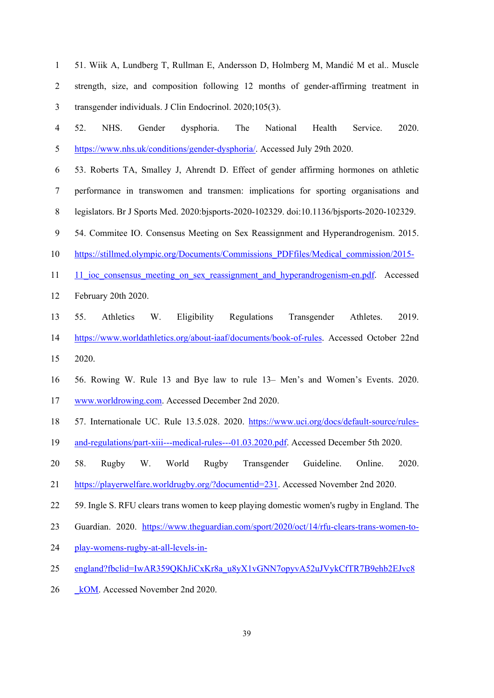| 51. Wiik A, Lundberg T, Rullman E, Andersson D, Holmberg M, Mandić M et al Muscle    |
|--------------------------------------------------------------------------------------|
| strength, size, and composition following 12 months of gender-affirming treatment in |
| transgender individuals. J Clin Endocrinol. 2020;105(3).                             |

- 52. NHS. Gender dysphoria. The National Health Service. 2020. [https://www.nhs.uk/conditions/gender-dysphoria/.](https://www.nhs.uk/conditions/gender-dysphoria/) Accessed July 29th 2020.
- 53. Roberts TA, Smalley J, Ahrendt D. Effect of gender affirming hormones on athletic performance in transwomen and transmen: implications for sporting organisations and legislators. Br J Sports Med. 2020:bjsports-2020-102329. doi:10.1136/bjsports-2020-102329.
- 54. Commitee IO. Consensus Meeting on Sex Reassignment and Hyperandrogenism. 2015.
- [https://stillmed.olympic.org/Documents/Commissions\\_PDFfiles/Medical\\_commission/2015-](https://stillmed.olympic.org/Documents/Commissions_PDFfiles/Medical_commission/2015-11_ioc_consensus_meeting_on_sex_reassignment_and_hyperandrogenism-en.pdf)
- 11 11 ioc\_consensus\_meeting\_on\_sex\_reassignment\_and\_hyperandrogenism-en.pdf. Accessed
- February 20th 2020.
- 55. Athletics W. Eligibility Regulations Transgender Athletes. 2019. [https://www.worldathletics.org/about-iaaf/documents/book-of-rules.](https://www.worldathletics.org/about-iaaf/documents/book-of-rules) Accessed October 22nd
- 2020.
- 56. Rowing W. Rule 13 and Bye law to rule 13– Men's and Women's Events. 2020. www.worldrowing.com. Accessed December 2nd 2020.
- 57. Internationale UC. Rule 13.5.028. 2020. [https://www.uci.org/docs/default-source/rules-](https://www.uci.org/docs/default-source/rules-and-regulations/part-xiii---medical-rules---01.03.2020.pdf)
- [and-regulations/part-xiii---medical-rules---01.03.2020.pdf.](https://www.uci.org/docs/default-source/rules-and-regulations/part-xiii---medical-rules---01.03.2020.pdf) Accessed December 5th 2020.
- 58. Rugby W. World Rugby Transgender Guideline. Online. 2020.
- [https://playerwelfare.worldrugby.org/?documentid=231.](https://playerwelfare.worldrugby.org/?documentid=231) Accessed November 2nd 2020.
- 59. Ingle S. RFU clears trans women to keep playing domestic women's rugby in England. The
- Guardian. 2020. [https://www.theguardian.com/sport/2020/oct/14/rfu-clears-trans-women-to-](https://www.theguardian.com/sport/2020/oct/14/rfu-clears-trans-women-to-play-womens-rugby-at-all-levels-in-england?fbclid=IwAR359QKhJiCxKr8a_u8yX1vGNN7opyvA52uJVykCfTR7B9ehb2EJvc8_kOM)
- [play-womens-rugby-at-all-levels-in-](https://www.theguardian.com/sport/2020/oct/14/rfu-clears-trans-women-to-play-womens-rugby-at-all-levels-in-england?fbclid=IwAR359QKhJiCxKr8a_u8yX1vGNN7opyvA52uJVykCfTR7B9ehb2EJvc8_kOM)
- [england?fbclid=IwAR359QKhJiCxKr8a\\_u8yX1vGNN7opyvA52uJVykCfTR7B9ehb2EJvc8](https://www.theguardian.com/sport/2020/oct/14/rfu-clears-trans-women-to-play-womens-rugby-at-all-levels-in-england?fbclid=IwAR359QKhJiCxKr8a_u8yX1vGNN7opyvA52uJVykCfTR7B9ehb2EJvc8_kOM)
- 26 kOM. Accessed November 2nd 2020.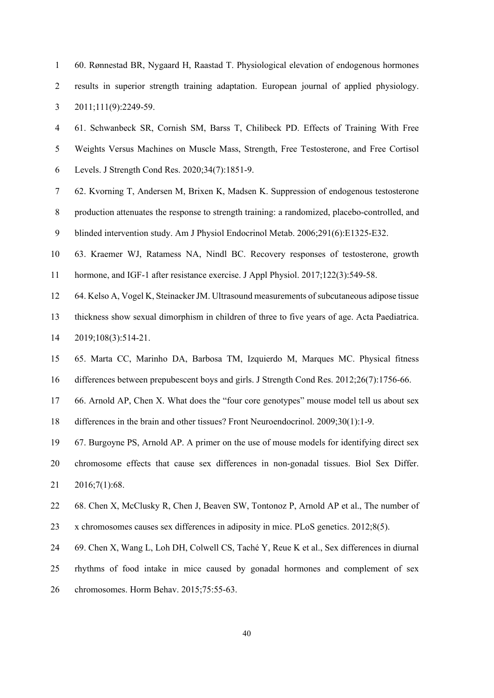60. Rønnestad BR, Nygaard H, Raastad T. Physiological elevation of endogenous hormones results in superior strength training adaptation. European journal of applied physiology. 2011;111(9):2249-59.

 61. Schwanbeck SR, Cornish SM, Barss T, Chilibeck PD. Effects of Training With Free Weights Versus Machines on Muscle Mass, Strength, Free Testosterone, and Free Cortisol Levels. J Strength Cond Res. 2020;34(7):1851-9.

- 62. Kvorning T, Andersen M, Brixen K, Madsen K. Suppression of endogenous testosterone
- production attenuates the response to strength training: a randomized, placebo-controlled, and
- blinded intervention study. Am J Physiol Endocrinol Metab. 2006;291(6):E1325-E32.

 63. Kraemer WJ, Ratamess NA, Nindl BC. Recovery responses of testosterone, growth hormone, and IGF-1 after resistance exercise. J Appl Physiol. 2017;122(3):549-58.

- 64. Kelso A, Vogel K, Steinacker JM. Ultrasound measurements of subcutaneous adipose tissue
- thickness show sexual dimorphism in children of three to five years of age. Acta Paediatrica. 2019;108(3):514-21.
- 65. Marta CC, Marinho DA, Barbosa TM, Izquierdo M, Marques MC. Physical fitness
- differences between prepubescent boys and girls. J Strength Cond Res. 2012;26(7):1756-66.

66. Arnold AP, Chen X. What does the "four core genotypes" mouse model tell us about sex

- differences in the brain and other tissues? Front Neuroendocrinol. 2009;30(1):1-9.
- 67. Burgoyne PS, Arnold AP. A primer on the use of mouse models for identifying direct sex
- chromosome effects that cause sex differences in non-gonadal tissues. Biol Sex Differ. 2016;7(1):68.
- 68. Chen X, McClusky R, Chen J, Beaven SW, Tontonoz P, Arnold AP et al., The number of
- x chromosomes causes sex differences in adiposity in mice. PLoS genetics. 2012;8(5).
- 69. Chen X, Wang L, Loh DH, Colwell CS, Taché Y, Reue K et al., Sex differences in diurnal
- rhythms of food intake in mice caused by gonadal hormones and complement of sex
- chromosomes. Horm Behav. 2015;75:55-63.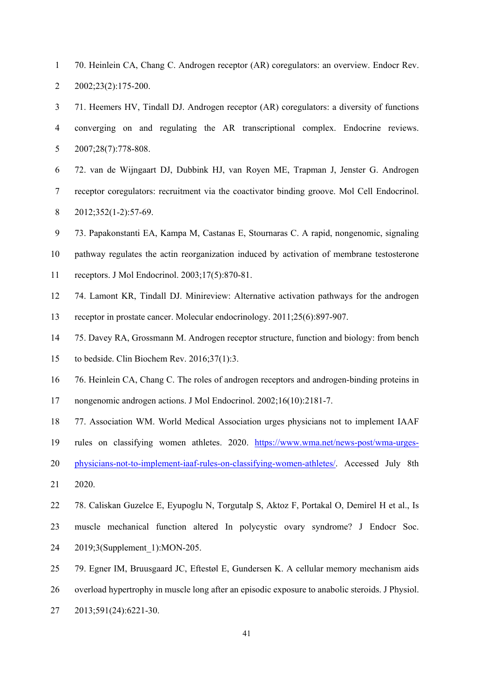70. Heinlein CA, Chang C. Androgen receptor (AR) coregulators: an overview. Endocr Rev.

2002;23(2):175-200.

- 71. Heemers HV, Tindall DJ. Androgen receptor (AR) coregulators: a diversity of functions converging on and regulating the AR transcriptional complex. Endocrine reviews. 2007;28(7):778-808.
- 72. van de Wijngaart DJ, Dubbink HJ, van Royen ME, Trapman J, Jenster G. Androgen receptor coregulators: recruitment via the coactivator binding groove. Mol Cell Endocrinol. 2012;352(1-2):57-69.
- 73. Papakonstanti EA, Kampa M, Castanas E, Stournaras C. A rapid, nongenomic, signaling
- pathway regulates the actin reorganization induced by activation of membrane testosterone
- receptors. J Mol Endocrinol. 2003;17(5):870-81.
- 74. Lamont KR, Tindall DJ. Minireview: Alternative activation pathways for the androgen
- receptor in prostate cancer. Molecular endocrinology. 2011;25(6):897-907.
- 75. Davey RA, Grossmann M. Androgen receptor structure, function and biology: from bench
- to bedside. Clin Biochem Rev. 2016;37(1):3.
- 76. Heinlein CA, Chang C. The roles of androgen receptors and androgen-binding proteins in
- nongenomic androgen actions. J Mol Endocrinol. 2002;16(10):2181-7.
- 77. Association WM. World Medical Association urges physicians not to implement IAAF
- rules on classifying women athletes. 2020. [https://www.wma.net/news-post/wma-urges-](https://www.wma.net/news-post/wma-urges-physicians-not-to-implement-iaaf-rules-on-classifying-women-athletes/)
- [physicians-not-to-implement-iaaf-rules-on-classifying-women-athletes/.](https://www.wma.net/news-post/wma-urges-physicians-not-to-implement-iaaf-rules-on-classifying-women-athletes/) Accessed July 8th 2020.
- 78. Caliskan Guzelce E, Eyupoglu N, Torgutalp S, Aktoz F, Portakal O, Demirel H et al., Is
- muscle mechanical function altered In polycystic ovary syndrome? J Endocr Soc. 2019;3(Supplement\_1):MON-205.
- 79. Egner IM, Bruusgaard JC, Eftestøl E, Gundersen K. A cellular memory mechanism aids
- overload hypertrophy in muscle long after an episodic exposure to anabolic steroids. J Physiol.
- 2013;591(24):6221-30.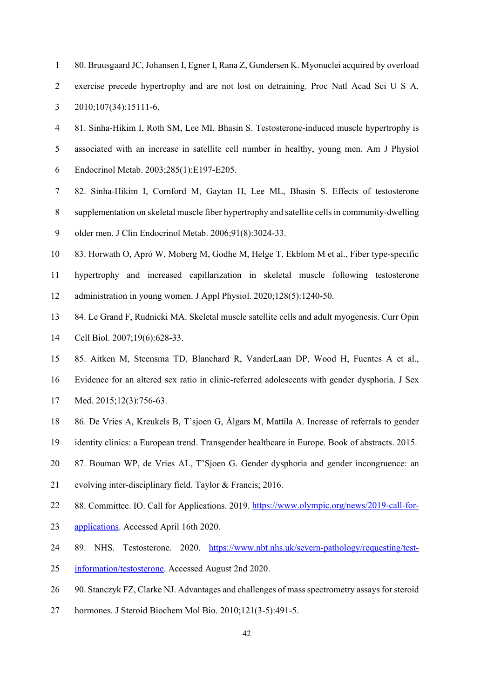| $\mathbf{1}$             | 80. Bruusgaard JC, Johansen I, Egner I, Rana Z, Gundersen K. Myonuclei acquired by overload    |
|--------------------------|------------------------------------------------------------------------------------------------|
| $\overline{2}$           | exercise precede hypertrophy and are not lost on detraining. Proc Natl Acad Sci U S A.         |
| 3                        | 2010;107(34):15111-6.                                                                          |
| $\overline{\mathcal{A}}$ | 81. Sinha-Hikim I, Roth SM, Lee MI, Bhasin S. Testosterone-induced muscle hypertrophy is       |
| 5                        | associated with an increase in satellite cell number in healthy, young men. Am J Physiol       |
| 6                        | Endocrinol Metab. 2003;285(1):E197-E205.                                                       |
| 7                        | 82. Sinha-Hikim I, Cornford M, Gaytan H, Lee ML, Bhasin S. Effects of testosterone             |
| $8\,$                    | supplementation on skeletal muscle fiber hypertrophy and satellite cells in community-dwelling |
| 9                        | older men. J Clin Endocrinol Metab. 2006;91(8):3024-33.                                        |
| 10                       | 83. Horwath O, Apró W, Moberg M, Godhe M, Helge T, Ekblom M et al., Fiber type-specific        |
| 11                       | hypertrophy and increased capillarization in skeletal muscle following testosterone            |
| 12                       | administration in young women. J Appl Physiol. 2020;128(5):1240-50.                            |
| 13                       | 84. Le Grand F, Rudnicki MA. Skeletal muscle satellite cells and adult myogenesis. Curr Opin   |
| 14                       | Cell Biol. 2007;19(6):628-33.                                                                  |
| 15                       | 85. Aitken M, Steensma TD, Blanchard R, VanderLaan DP, Wood H, Fuentes A et al.,               |
| 16                       | Evidence for an altered sex ratio in clinic-referred adolescents with gender dysphoria. J Sex  |
| 17                       | Med. 2015;12(3):756-63.                                                                        |
| 18                       | 86. De Vries A, Kreukels B, T'sjoen G, Ålgars M, Mattila A. Increase of referrals to gender    |
| 19                       | identity clinics: a European trend. Transgender healthcare in Europe. Book of abstracts. 2015. |
| 20                       | 87. Bouman WP, de Vries AL, T'Sjoen G. Gender dysphoria and gender incongruence: an            |
| 21                       | evolving inter-disciplinary field. Taylor & Francis; 2016.                                     |
| 22                       | 88. Committee. IO. Call for Applications. 2019. https://www.olympic.org/news/2019-call-for-    |
| 23                       | applications. Accessed April 16th 2020.                                                        |
| 24                       | Testosterone. 2020. https://www.nbt.nhs.uk/severn-pathology/requesting/test-<br>89.<br>NHS.    |
| 25                       | information/testosterone. Accessed August 2nd 2020.                                            |
| 26                       | 90. Stanczyk FZ, Clarke NJ. Advantages and challenges of mass spectrometry assays for steroid  |

hormones. J Steroid Biochem Mol Bio. 2010;121(3-5):491-5.